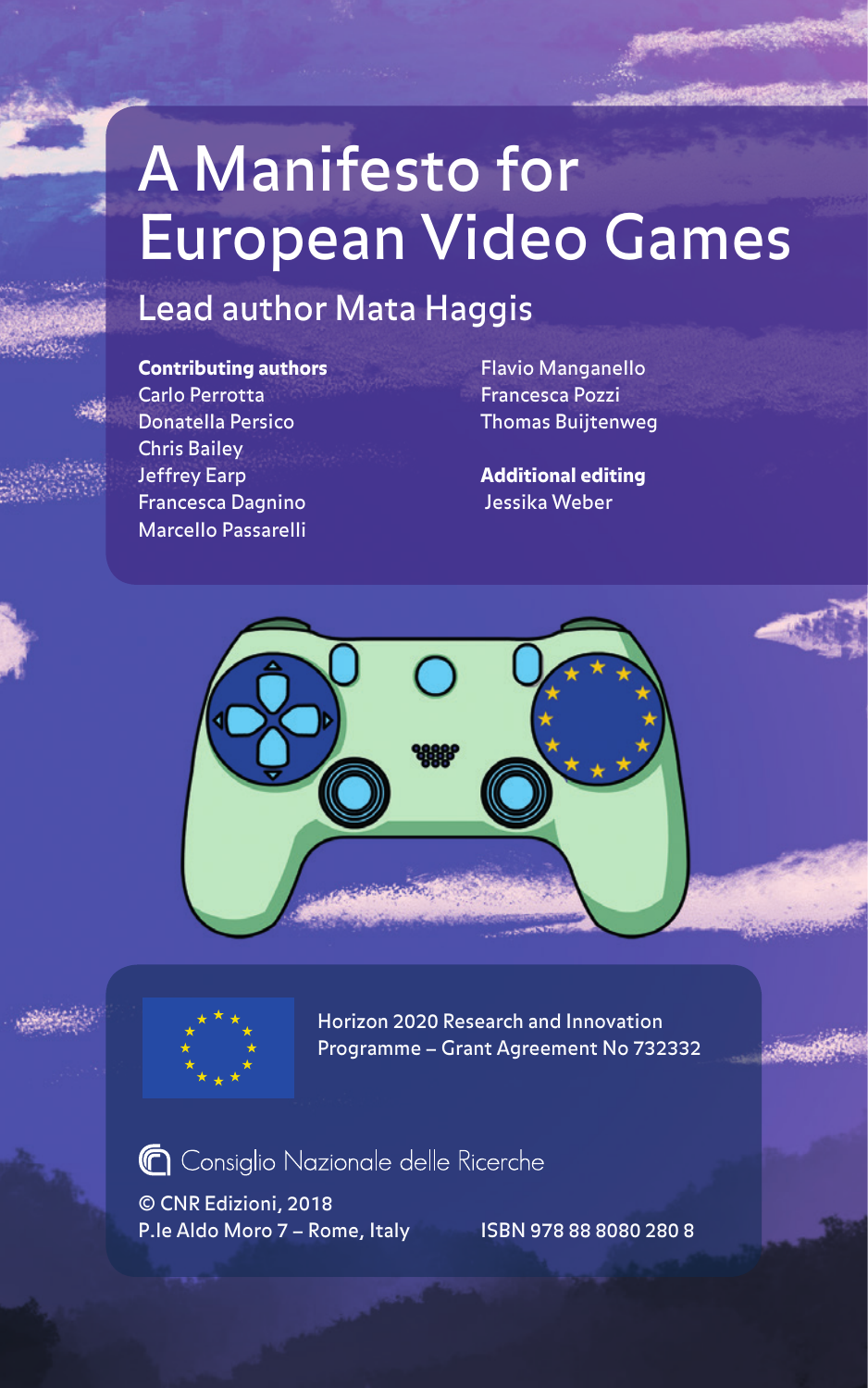# A Manifesto for European Video Games

#### Lead author Mata Haggis



Flavio Manganello Francesca Pozzi Thomas Buijtenweg

Additional editing Jessika Weber





Horizon 2020 Research and Innovation Programme – Grant Agreement No 732332

#### Consiglio Nazionale delle Ricerche

© CNR Edizioni, 2018 P.le Aldo Moro 7 - Rome, Italy ISBN 978 88 8080 280 8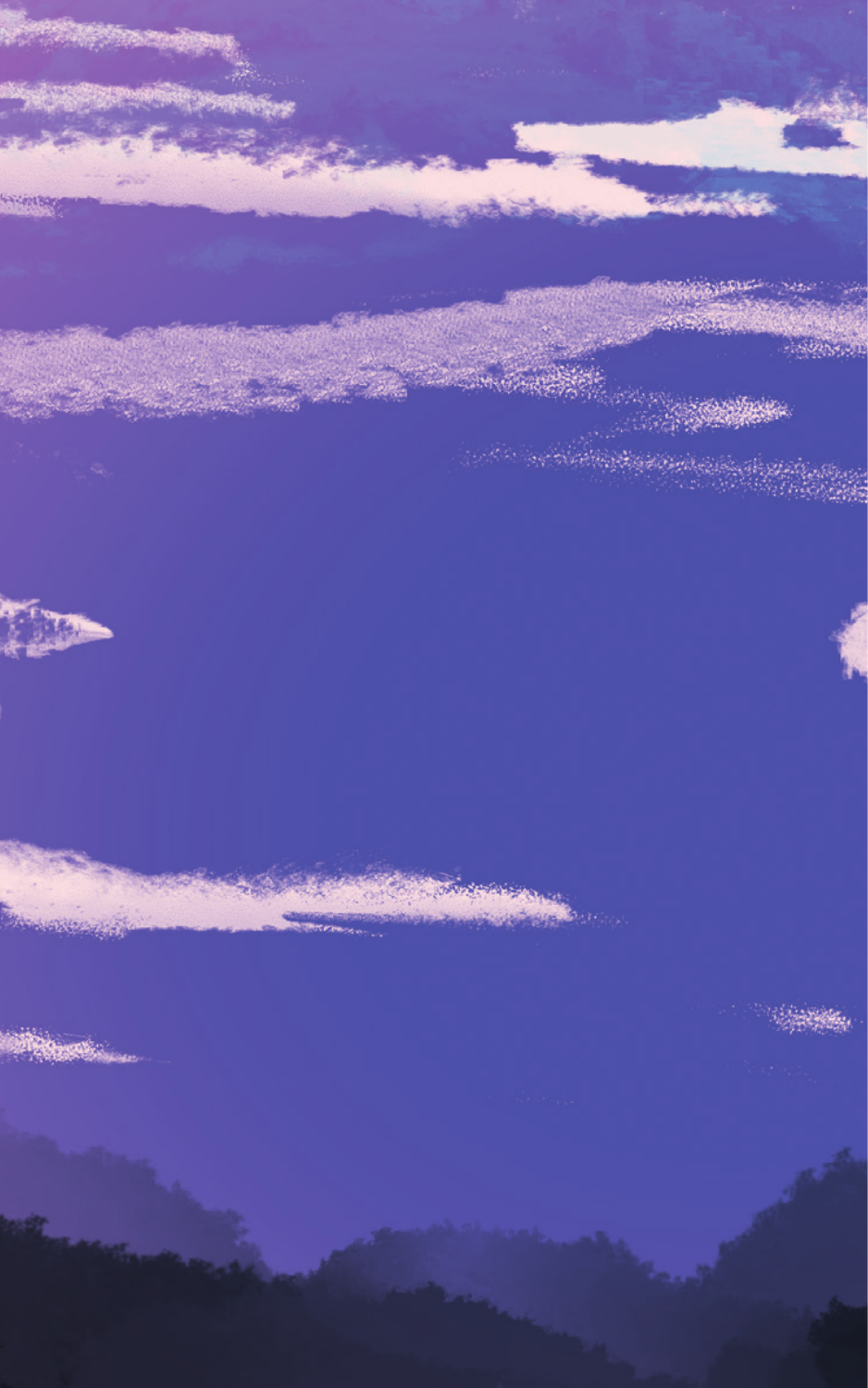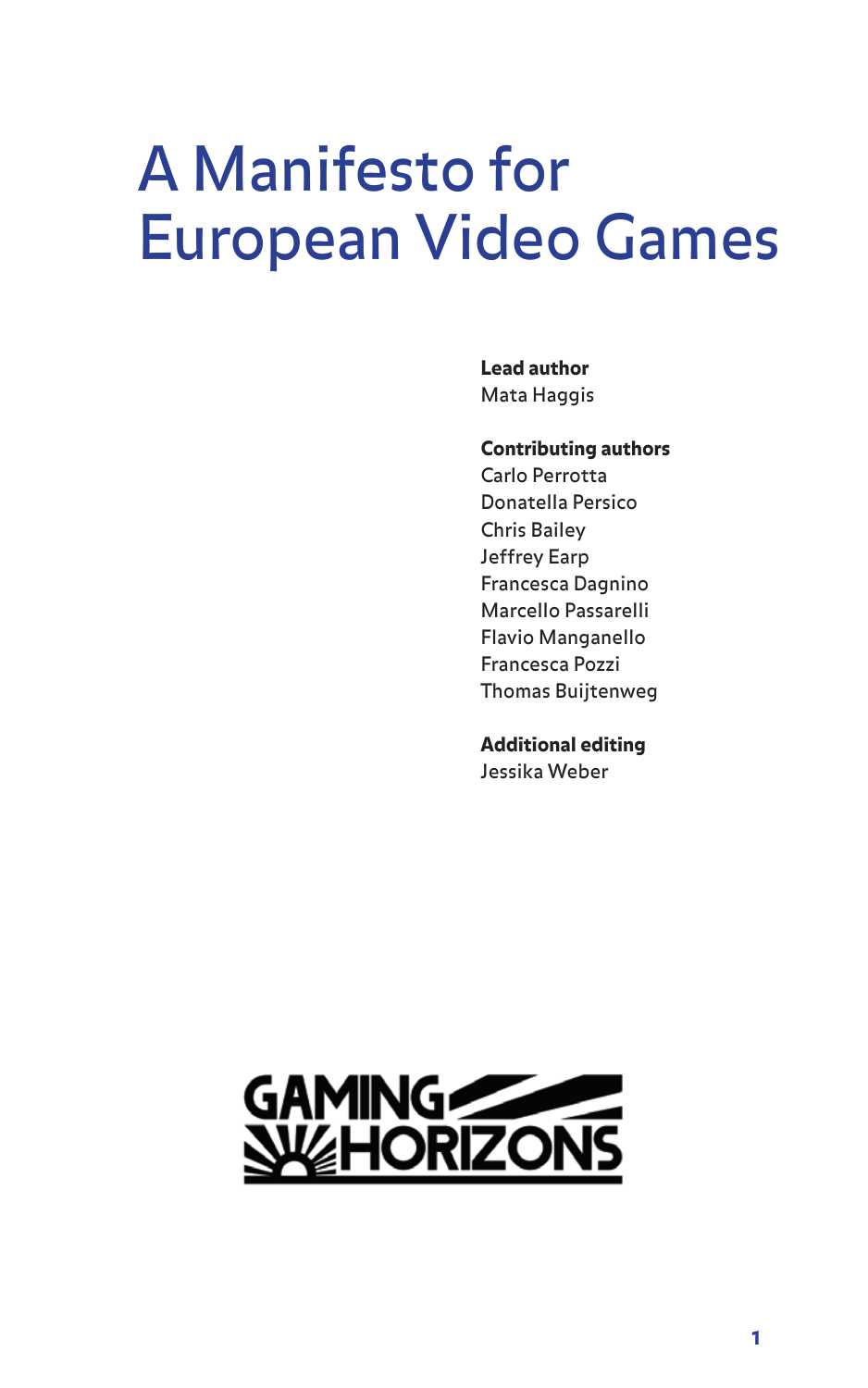## A Manifesto for European Video Games

Lead author Mata Haggis

#### Contributing authors

Carlo Perrotta Donatella Persico Chris Bailey Jeffrey Earp Francesca Dagnino Marcello Passarelli Flavio Manganello Francesca Pozzi Thomas Buijtenweg

Additional editing Jessika Weber

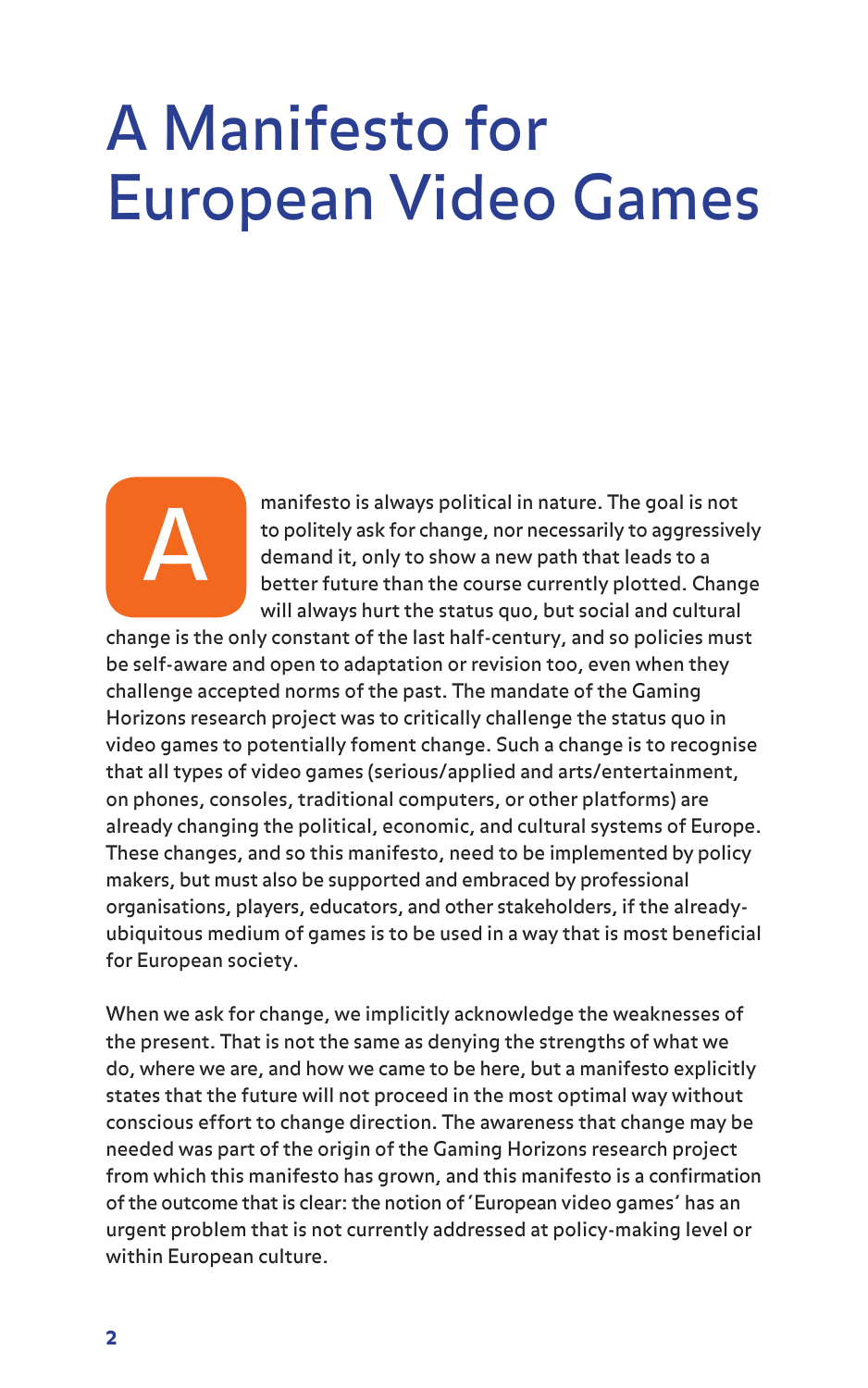# A Manifesto for European Video Games

A

manifesto is always political in nature. The goal is not to politely ask for change, nor necessarily to aggressively demand it, only to show a new path that leads to a better future than the course currently plotted. Change will always hurt the status quo, but social and cultural

change is the only constant of the last half-century, and so policies must be self-aware and open to adaptation or revision too, even when they challenge accepted norms of the past. The mandate of the Gaming Horizons research project was to critically challenge the status quo in video games to potentially foment change. Such a change is to recognise that all types of video games (serious/applied and arts/entertainment, on phones, consoles, traditional computers, or other platforms) are already changing the political, economic, and cultural systems of Europe. These changes, and so this manifesto, need to be implemented by policy makers, but must also be supported and embraced by professional organisations, players, educators, and other stakeholders, if the alreadyubiquitous medium of games is to be used in a way that is most beneficial for European society.

When we ask for change, we implicitly acknowledge the weaknesses of the present. That is not the same as denying the strengths of what we do, where we are, and how we came to be here, but a manifesto explicitly states that the future will not proceed in the most optimal way without conscious effort to change direction. The awareness that change may be needed was part of the origin of the Gaming Horizons research project from which this manifesto has grown, and this manifesto is a confirmation of the outcome that is clear: the notion of 'European video games' has an urgent problem that is not currently addressed at policy-making level or within European culture.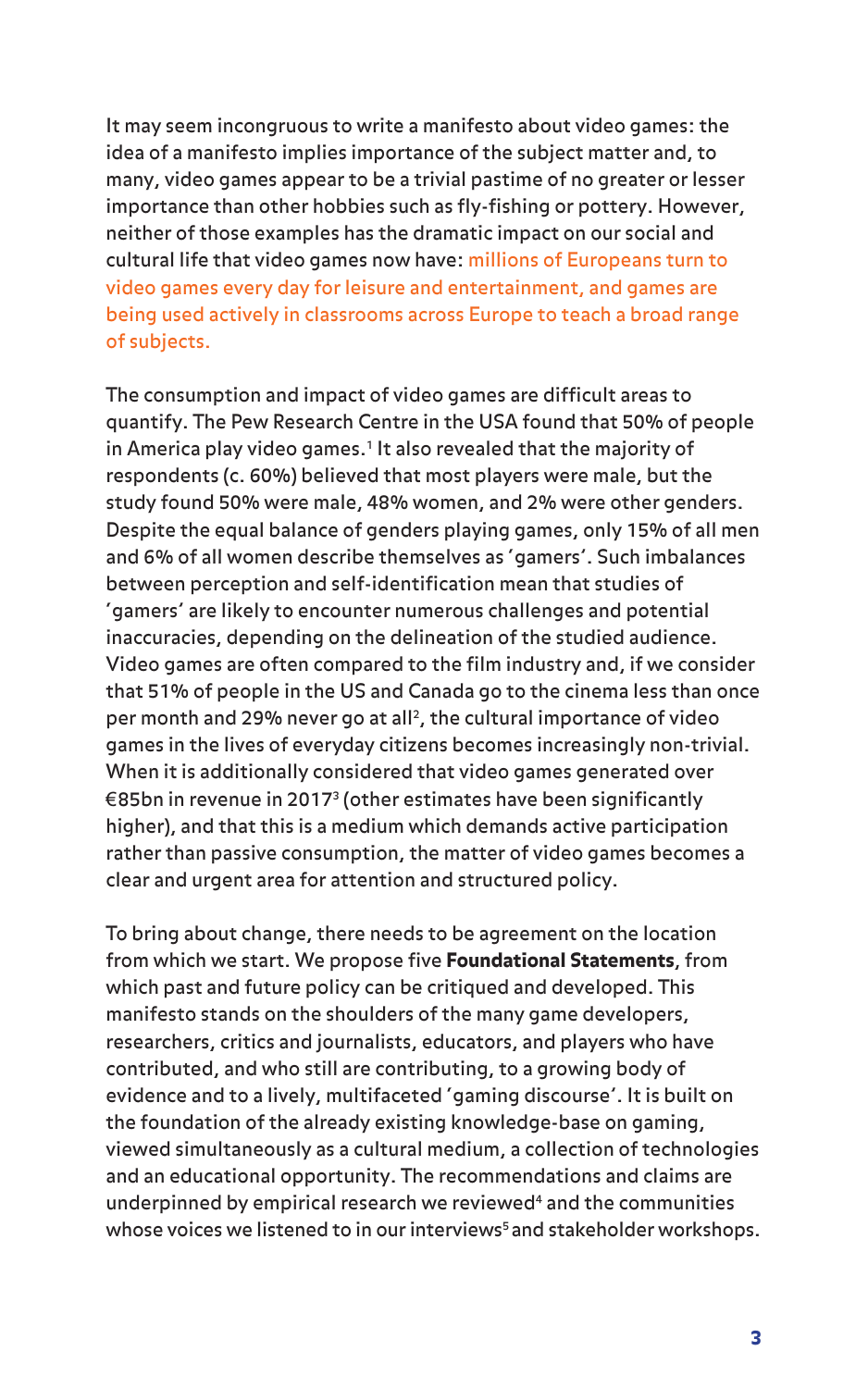It may seem incongruous to write a manifesto about video games: the idea of a manifesto implies importance of the subject matter and, to many, video games appear to be a trivial pastime of no greater or lesser importance than other hobbies such as fly-fishing or pottery. However, neither of those examples has the dramatic impact on our social and cultural life that video games now have: millions of Europeans turn to video games every day for leisure and entertainment, and games are being used actively in classrooms across Europe to teach a broad range of subjects.

The consumption and impact of video games are difficult areas to quantify. The Pew Research Centre in the USA found that 50% of people in America play video games.<sup>1</sup> It also revealed that the majority of respondents (c. 60%) believed that most players were male, but the study found 50% were male, 48% women, and 2% were other genders. Despite the equal balance of genders playing games, only 15% of all men and 6% of all women describe themselves as 'gamers'. Such imbalances between perception and self-identification mean that studies of 'gamers' are likely to encounter numerous challenges and potential inaccuracies, depending on the delineation of the studied audience. Video games are often compared to the film industry and, if we consider that 51% of people in the US and Canada go to the cinema less than once per month and 29% never go at all<sup>2</sup>, the cultural importance of video games in the lives of everyday citizens becomes increasingly non-trivial. When it is additionally considered that video games generated over €85bn in revenue in 20173 (other estimates have been significantly higher), and that this is a medium which demands active participation rather than passive consumption, the matter of video games becomes a clear and urgent area for attention and structured policy.

To bring about change, there needs to be agreement on the location from which we start. We propose five **Foundational Statements**, from which past and future policy can be critiqued and developed. This manifesto stands on the shoulders of the many game developers, researchers, critics and journalists, educators, and players who have contributed, and who still are contributing, to a growing body of evidence and to a lively, multifaceted 'gaming discourse'. It is built on the foundation of the already existing knowledge-base on gaming, viewed simultaneously as a cultural medium, a collection of technologies and an educational opportunity. The recommendations and claims are underpinned by empirical research we reviewed<sup>4</sup> and the communities whose voices we listened to in our interviews<sup>5</sup> and stakeholder workshops.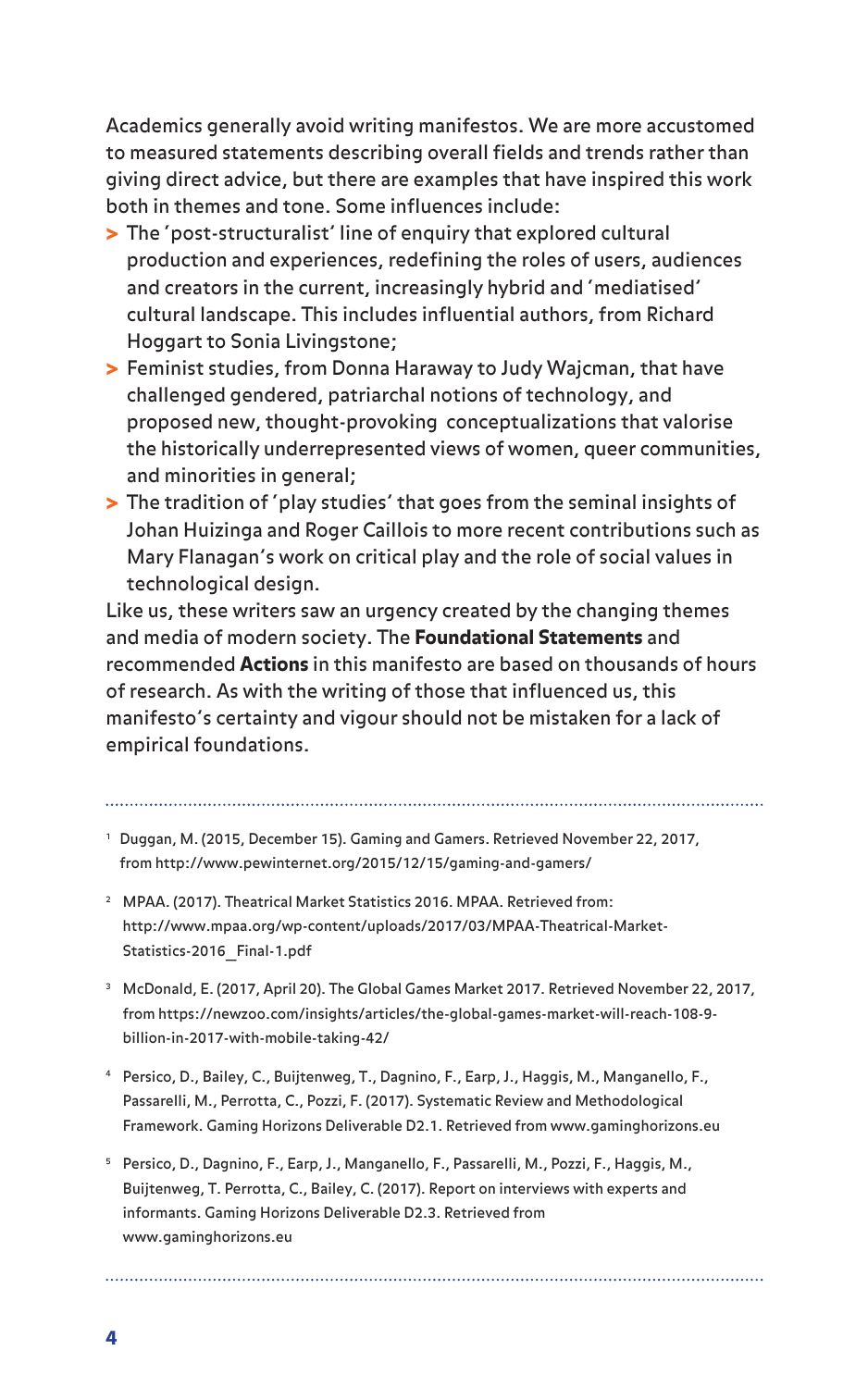Academics generally avoid writing manifestos. We are more accustomed to measured statements describing overall fields and trends rather than giving direct advice, but there are examples that have inspired this work both in themes and tone. Some influences include:

- > The 'post-structuralist' line of enquiry that explored cultural production and experiences, redefining the roles of users, audiences and creators in the current, increasingly hybrid and 'mediatised' cultural landscape. This includes influential authors, from Richard Hoggart to Sonia Livingstone;
- > Feminist studies, from Donna Haraway to Judy Wajcman, that have challenged gendered, patriarchal notions of technology, and proposed new, thought-provoking conceptualizations that valorise the historically underrepresented views of women, queer communities, and minorities in general;
- > The tradition of 'play studies' that goes from the seminal insights of Johan Huizinga and Roger Caillois to more recent contributions such as Mary Flanagan's work on critical play and the role of social values in technological design.

Like us, these writers saw an urgency created by the changing themes and media of modern society. The Foundational Statements and recommended **Actions** in this manifesto are based on thousands of hours of research. As with the writing of those that influenced us, this manifesto's certainty and vigour should not be mistaken for a lack of empirical foundations.

- 1 Duggan, M. (2015, December 15). Gaming and Gamers. Retrieved November 22, 2017, from http://www.pewinternet.org/2015/12/15/gaming-and-gamers/
- <sup>2</sup> MPAA. (2017). Theatrical Market Statistics 2016. MPAA. Retrieved from: http://www.mpaa.org/wp-content/uploads/2017/03/MPAA-Theatrical-Market-Statistics-2016\_Final-1.pdf
- <sup>3</sup> McDonald, E. (2017, April 20). The Global Games Market 2017. Retrieved November 22, 2017, from https://newzoo.com/insights/articles/the-global-games-market-will-reach-108-9 billion-in-2017-with-mobile-taking-42/
- <sup>4</sup> Persico, D., Bailey, C., Buijtenweg, T., Dagnino, F., Earp, J., Haggis, M., Manganello, F., Passarelli, M., Perrotta, C., Pozzi, F. (2017). Systematic Review and Methodological Framework. Gaming Horizons Deliverable D2.1. Retrieved from www.gaminghorizons.eu
- <sup>5</sup> Persico, D., Dagnino, F., Earp, J., Manganello, F., Passarelli, M., Pozzi, F., Haggis, M., Buijtenweg, T. Perrotta, C., Bailey, C. (2017). Report on interviews with experts and informants. Gaming Horizons Deliverable D2.3. Retrieved from www.gaminghorizons.eu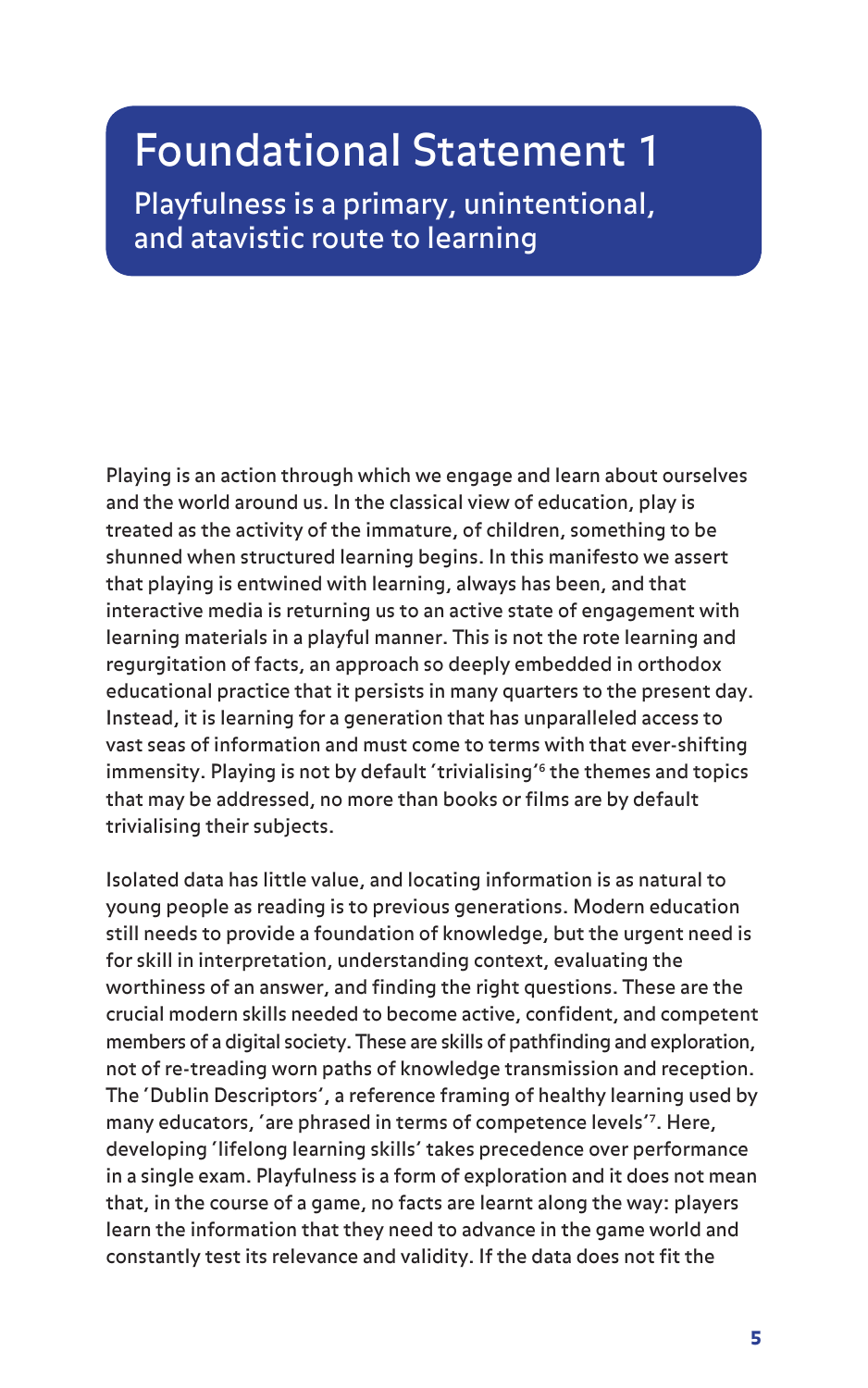### Foundational Statement 1

Playfulness is a primary, unintentional, and atavistic route to learning

Playing is an action through which we engage and learn about ourselves and the world around us. In the classical view of education, play is treated as the activity of the immature, of children, something to be shunned when structured learning begins. In this manifesto we assert that playing is entwined with learning, always has been, and that interactive media is returning us to an active state of engagement with learning materials in a playful manner. This is not the rote learning and regurgitation of facts, an approach so deeply embedded in orthodox educational practice that it persists in many quarters to the present day. Instead, it is learning for a generation that has unparalleled access to vast seas of information and must come to terms with that ever-shifting immensity. Playing is not by default 'trivialising'6 the themes and topics that may be addressed, no more than books or films are by default trivialising their subjects.

Isolated data has little value, and locating information is as natural to young people as reading is to previous generations. Modern education still needs to provide a foundation of knowledge, but the urgent need is for skill in interpretation, understanding context, evaluating the worthiness of an answer, and finding the right questions. These are the crucial modern skills needed to become active, confident, and competent members of a digital society. These are skills of pathfinding and exploration, not of re-treading worn paths of knowledge transmission and reception. The 'Dublin Descriptors', a reference framing of healthy learning used by many educators, 'are phrased in terms of competence levels'7. Here, developing 'lifelong learning skills' takes precedence over performance in a single exam. Playfulness is a form of exploration and it does not mean that, in the course of a game, no facts are learnt along the way: players learn the information that they need to advance in the game world and constantly test its relevance and validity. If the data does not fit the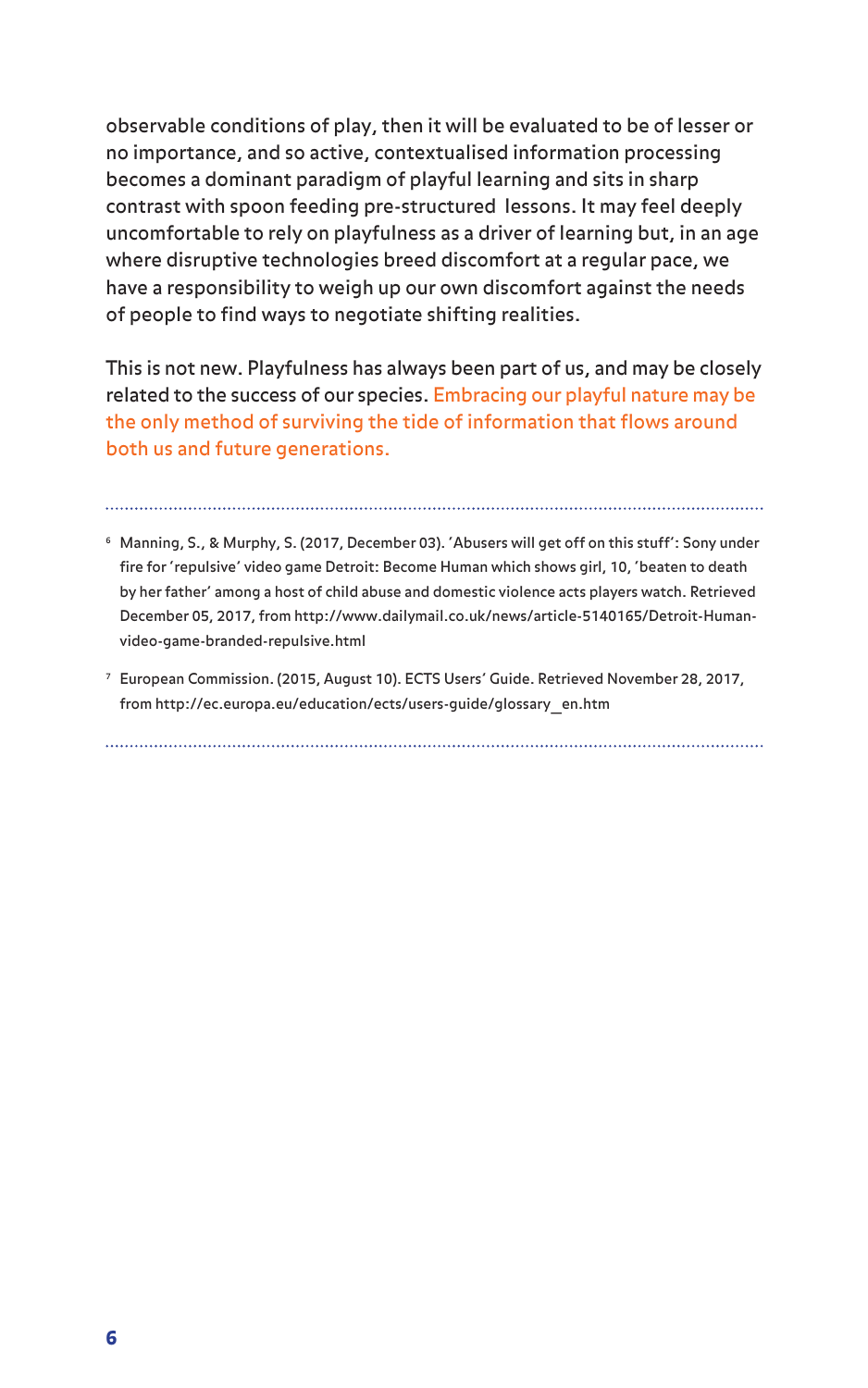observable conditions of play, then it will be evaluated to be of lesser or no importance, and so active, contextualised information processing becomes a dominant paradigm of playful learning and sits in sharp contrast with spoon feeding pre-structured lessons. It may feel deeply uncomfortable to rely on playfulness as a driver of learning but, in an age where disruptive technologies breed discomfort at a regular pace, we have a responsibility to weigh up our own discomfort against the needs of people to find ways to negotiate shifting realities.

This is not new. Playfulness has always been part of us, and may be closely related to the success of our species. Embracing our playful nature may be the only method of surviving the tide of information that flows around both us and future generations.

6 Manning, S., & Murphy, S. (2017, December 03). 'Abusers will get off on this stuff': Sony under fire for 'repulsive' video game Detroit: Become Human which shows girl, 10, 'beaten to death by her father' among a host of child abuse and domestic violence acts players watch. Retrieved December 05, 2017, from http://www.dailymail.co.uk/news/article-5140165/Detroit-Humanvideo-game-branded-repulsive.html

7 European Commission. (2015, August 10). ECTS Users' Guide. Retrieved November 28, 2017, from http://ec.europa.eu/education/ects/users-guide/glossary\_en.htm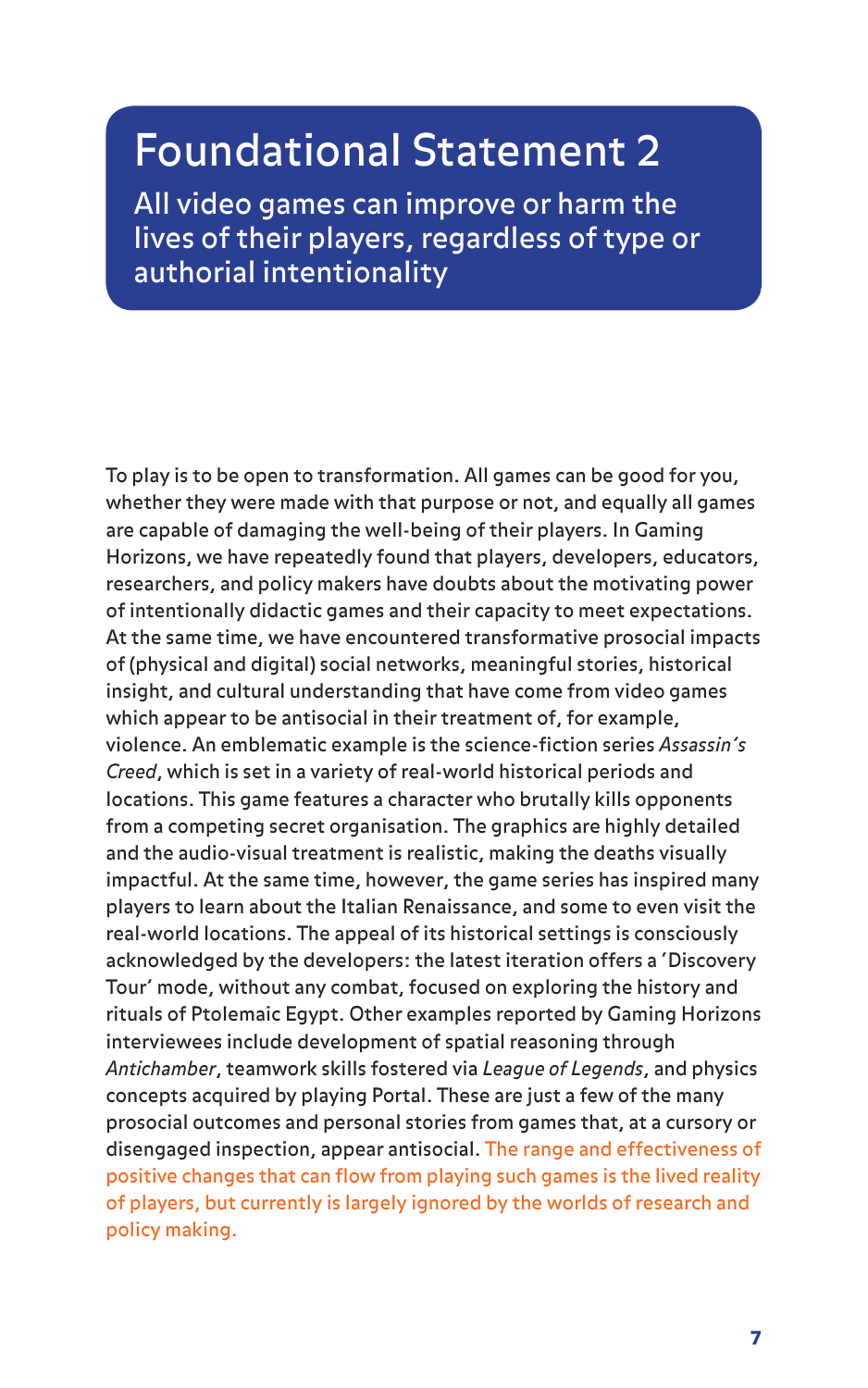### Foundational Statement 2

All video games can improve or harm the lives of their players, regardless of type or authorial intentionality

To play is to be open to transformation. All games can be good for you, whether they were made with that purpose or not, and equally all games are capable of damaging the well-being of their players. In Gaming Horizons, we have repeatedly found that players, developers, educators, researchers, and policy makers have doubts about the motivating power of intentionally didactic games and their capacity to meet expectations. At the same time, we have encountered transformative prosocial impacts of (physical and digital) social networks, meaningful stories, historical insight, and cultural understanding that have come from video games which appear to be antisocial in their treatment of, for example, violence. An emblematic example is the science-fiction series *Assassin's Creed*, which is set in a variety of real-world historical periods and locations. This game features a character who brutally kills opponents from a competing secret organisation. The graphics are highly detailed and the audio-visual treatment is realistic, making the deaths visually impactful. At the same time, however, the game series has inspired many players to learn about the Italian Renaissance, and some to even visit the real-world locations. The appeal of its historical settings is consciously acknowledged by the developers: the latest iteration offers a 'Discovery Tour' mode, without any combat, focused on exploring the history and rituals of Ptolemaic Egypt. Other examples reported by Gaming Horizons interviewees include development of spatial reasoning through *Antichamber*, teamwork skills fostered via *League of Legends*, and physics concepts acquired by playing Portal. These are just a few of the many prosocial outcomes and personal stories from games that, at a cursory or disengaged inspection, appear antisocial. The range and effectiveness of positive changes that can flow from playing such games is the lived reality of players, but currently is largely ignored by the worlds of research and policy making.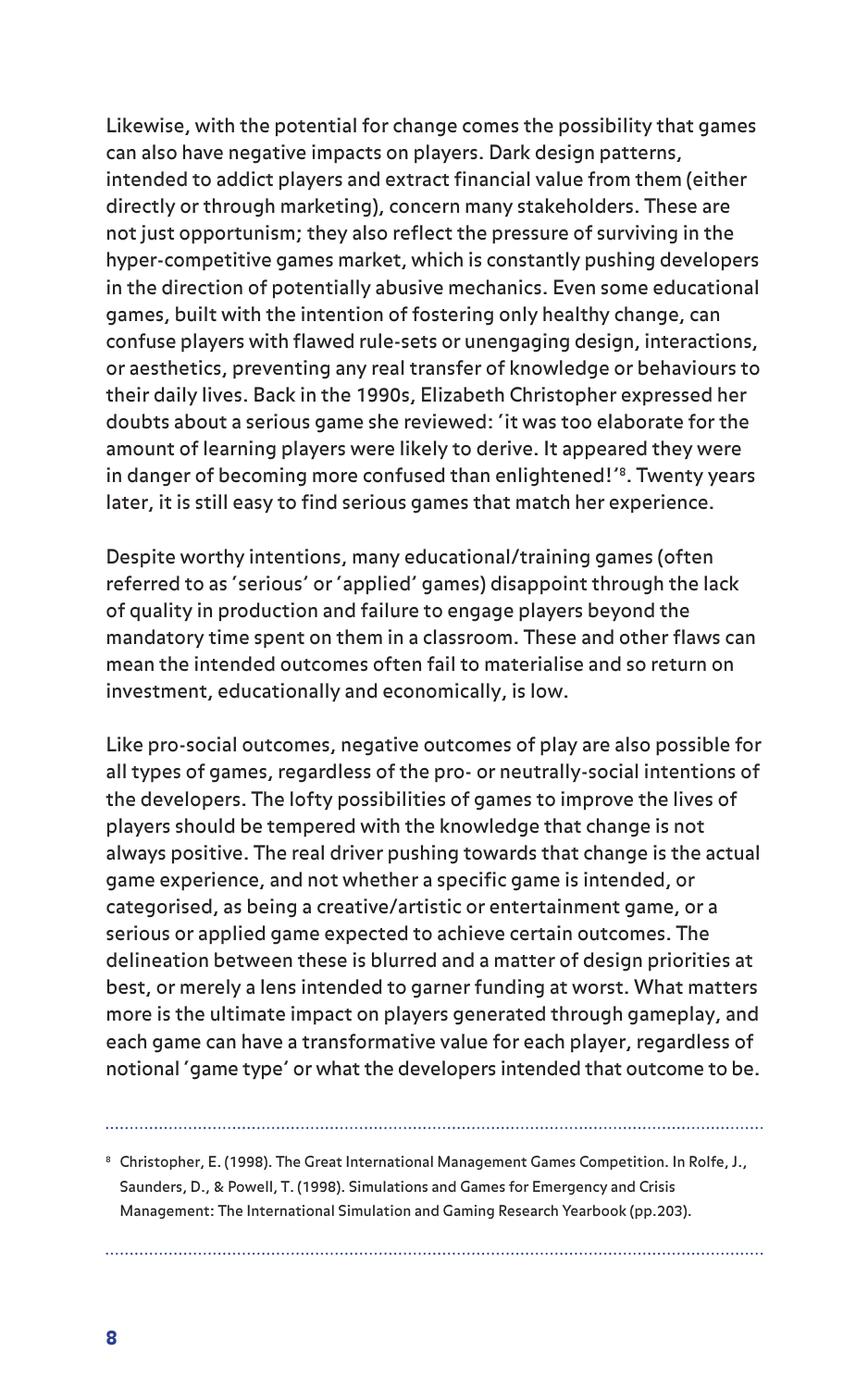Likewise, with the potential for change comes the possibility that games can also have negative impacts on players. Dark design patterns, intended to addict players and extract financial value from them (either directly or through marketing), concern many stakeholders. These are not just opportunism; they also reflect the pressure of surviving in the hyper-competitive games market, which is constantly pushing developers in the direction of potentially abusive mechanics. Even some educational games, built with the intention of fostering only healthy change, can confuse players with flawed rule-sets or unengaging design, interactions, or aesthetics, preventing any real transfer of knowledge or behaviours to their daily lives. Back in the 1990s, Elizabeth Christopher expressed her doubts about a serious game she reviewed: 'it was too elaborate for the amount of learning players were likely to derive. It appeared they were in danger of becoming more confused than enlightened!<sup>'8</sup>. Twenty years later, it is still easy to find serious games that match her experience.

Despite worthy intentions, many educational/training games (often referred to as 'serious' or 'applied' games) disappoint through the lack of quality in production and failure to engage players beyond the mandatory time spent on them in a classroom. These and other flaws can mean the intended outcomes often fail to materialise and so return on investment, educationally and economically, is low.

Like pro-social outcomes, negative outcomes of play are also possible for all types of games, regardless of the pro- or neutrally-social intentions of the developers. The lofty possibilities of games to improve the lives of players should be tempered with the knowledge that change is not always positive. The real driver pushing towards that change is the actual game experience, and not whether a specific game is intended, or categorised, as being a creative/artistic or entertainment game, or a serious or applied game expected to achieve certain outcomes. The delineation between these is blurred and a matter of design priorities at best, or merely a lens intended to garner funding at worst. What matters more is the ultimate impact on players generated through gameplay, and each game can have a transformative value for each player, regardless of notional 'game type' or what the developers intended that outcome to be.

<sup>&</sup>lt;sup>8</sup> Christopher, E. (1998). The Great International Management Games Competition. In Rolfe, J., Saunders, D., & Powell, T. (1998). Simulations and Games for Emergency and Crisis Management: The International Simulation and Gaming Research Yearbook (pp.203).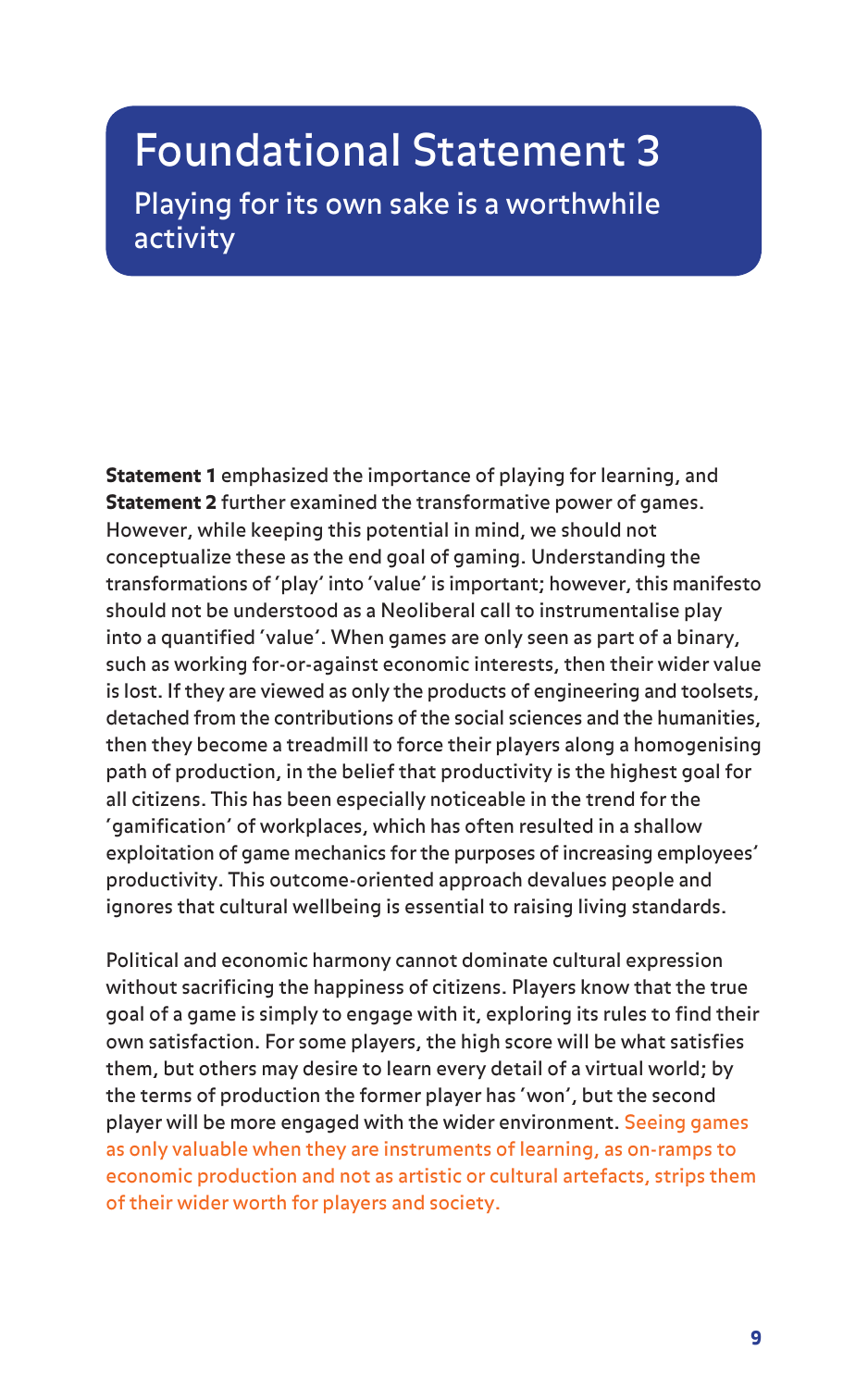### Foundational Statement 3

Playing for its own sake is a worthwhile activity

Statement 1 emphasized the importance of playing for learning, and Statement 2 further examined the transformative power of games. However, while keeping this potential in mind, we should not conceptualize these as the end goal of gaming. Understanding the transformations of 'play' into 'value' is important; however, this manifesto should not be understood as a Neoliberal call to instrumentalise play into a quantified 'value'. When games are only seen as part of a binary, such as working for-or-against economic interests, then their wider value is lost. If they are viewed as only the products of engineering and toolsets, detached from the contributions of the social sciences and the humanities, then they become a treadmill to force their players along a homogenising path of production, in the belief that productivity is the highest goal for all citizens. This has been especially noticeable in the trend for the 'gamification' of workplaces, which has often resulted in a shallow exploitation of game mechanics for the purposes of increasing employees' productivity. This outcome-oriented approach devalues people and ignores that cultural wellbeing is essential to raising living standards.

Political and economic harmony cannot dominate cultural expression without sacrificing the happiness of citizens. Players know that the true goal of a game is simply to engage with it, exploring its rules to find their own satisfaction. For some players, the high score will be what satisfies them, but others may desire to learn every detail of a virtual world; by the terms of production the former player has 'won', but the second player will be more engaged with the wider environment. Seeing games as only valuable when they are instruments of learning, as on-ramps to economic production and not as artistic or cultural artefacts, strips them of their wider worth for players and society.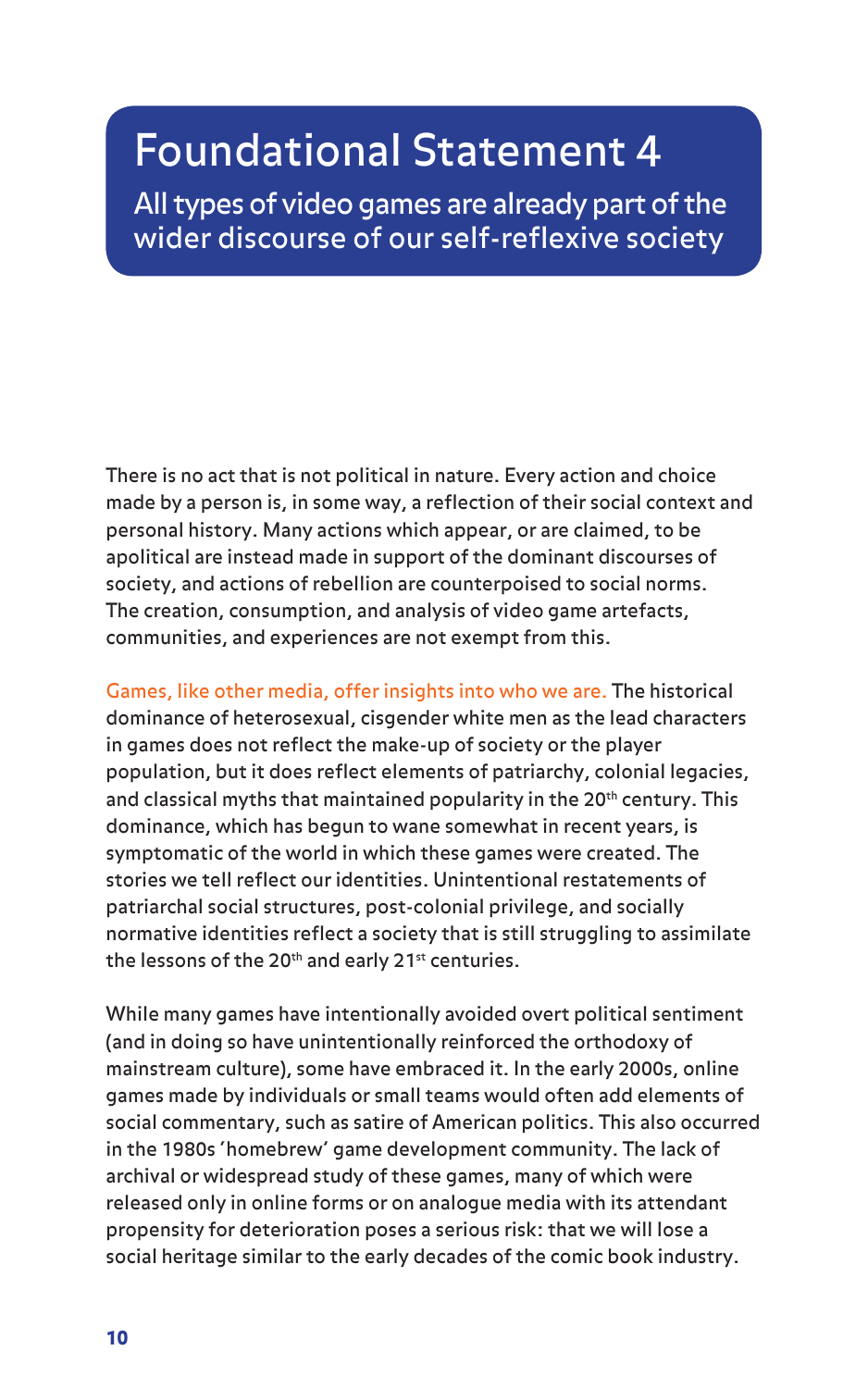### Foundational Statement 4

All types of video games are already part of the wider discourse of our self-reflexive society

There is no act that is not political in nature. Every action and choice made by a person is, in some way, a reflection of their social context and personal history. Many actions which appear, or are claimed, to be apolitical are instead made in support of the dominant discourses of society, and actions of rebellion are counterpoised to social norms. The creation, consumption, and analysis of video game artefacts, communities, and experiences are not exempt from this.

Games, like other media, offer insights into who we are. The historical dominance of heterosexual, cisgender white men as the lead characters in games does not reflect the make-up of society or the player population, but it does reflect elements of patriarchy, colonial legacies, and classical myths that maintained popularity in the 20<sup>th</sup> century. This dominance, which has begun to wane somewhat in recent years, is symptomatic of the world in which these games were created. The stories we tell reflect our identities. Unintentional restatements of patriarchal social structures, post-colonial privilege, and socially normative identities reflect a society that is still struggling to assimilate the lessons of the 20<sup>th</sup> and early 21<sup>st</sup> centuries.

While many games have intentionally avoided overt political sentiment (and in doing so have unintentionally reinforced the orthodoxy of mainstream culture), some have embraced it. In the early 2000s, online games made by individuals or small teams would often add elements of social commentary, such as satire of American politics. This also occurred in the 1980s 'homebrew' game development community. The lack of archival or widespread study of these games, many of which were released only in online forms or on analogue media with its attendant propensity for deterioration poses a serious risk: that we will lose a social heritage similar to the early decades of the comic book industry.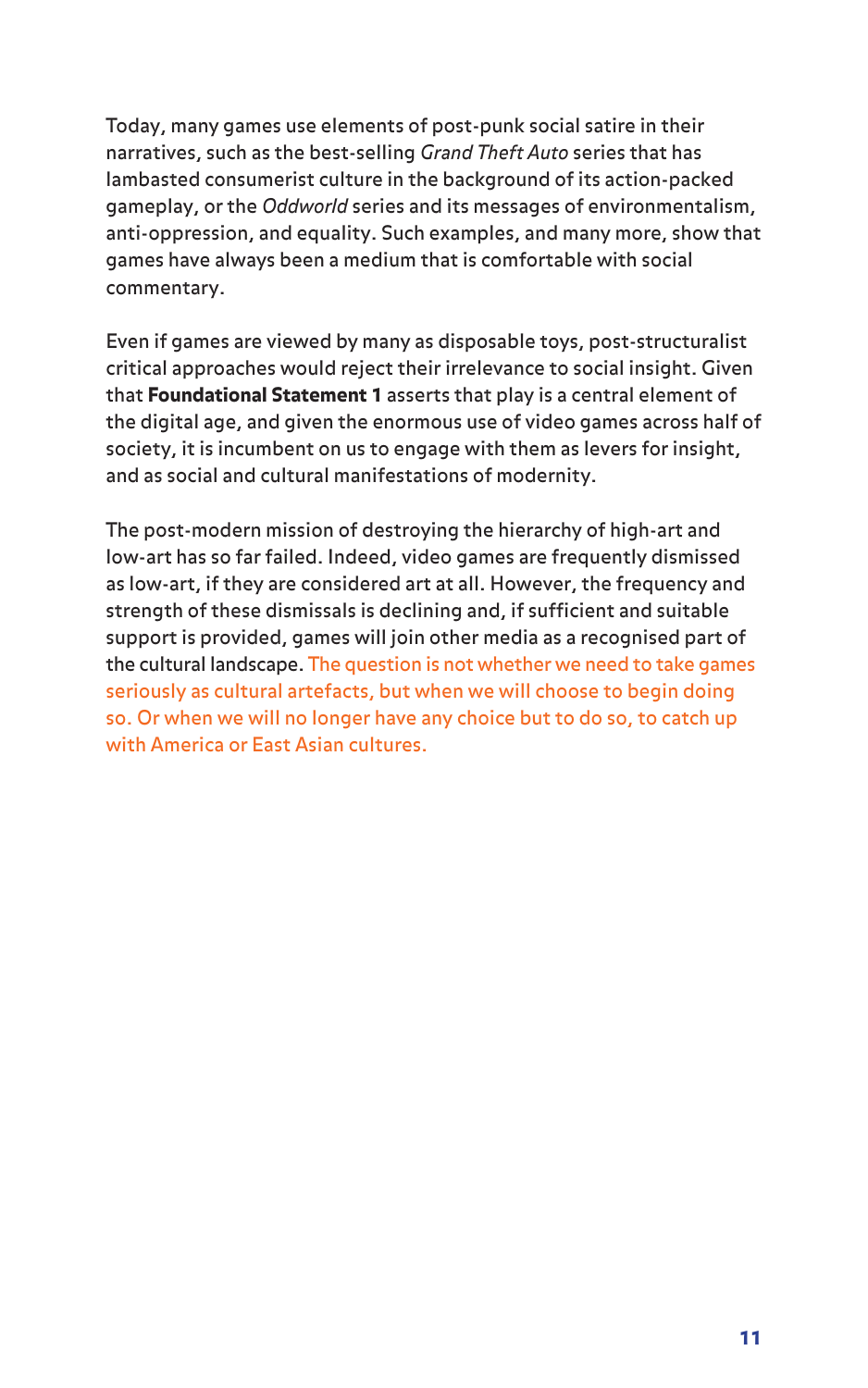Today, many games use elements of post-punk social satire in their narratives, such as the best-selling *Grand Theft Auto* series that has lambasted consumerist culture in the background of its action-packed gameplay, or the *Oddworld* series and its messages of environmentalism, anti-oppression, and equality. Such examples, and many more, show that games have always been a medium that is comfortable with social commentary.

Even if games are viewed by many as disposable toys, post-structuralist critical approaches would reject their irrelevance to social insight. Given that Foundational Statement 1 asserts that play is a central element of the digital age, and given the enormous use of video games across half of society, it is incumbent on us to engage with them as levers for insight, and as social and cultural manifestations of modernity.

The post-modern mission of destroying the hierarchy of high-art and low-art has so far failed. Indeed, video games are frequently dismissed as low-art, if they are considered art at all. However, the frequency and strength of these dismissals is declining and, if sufficient and suitable support is provided, games will join other media as a recognised part of the cultural landscape. The question is not whether we need to take games seriously as cultural artefacts, but when we will choose to begin doing so. Or when we will no longer have any choice but to do so, to catch up with America or East Asian cultures.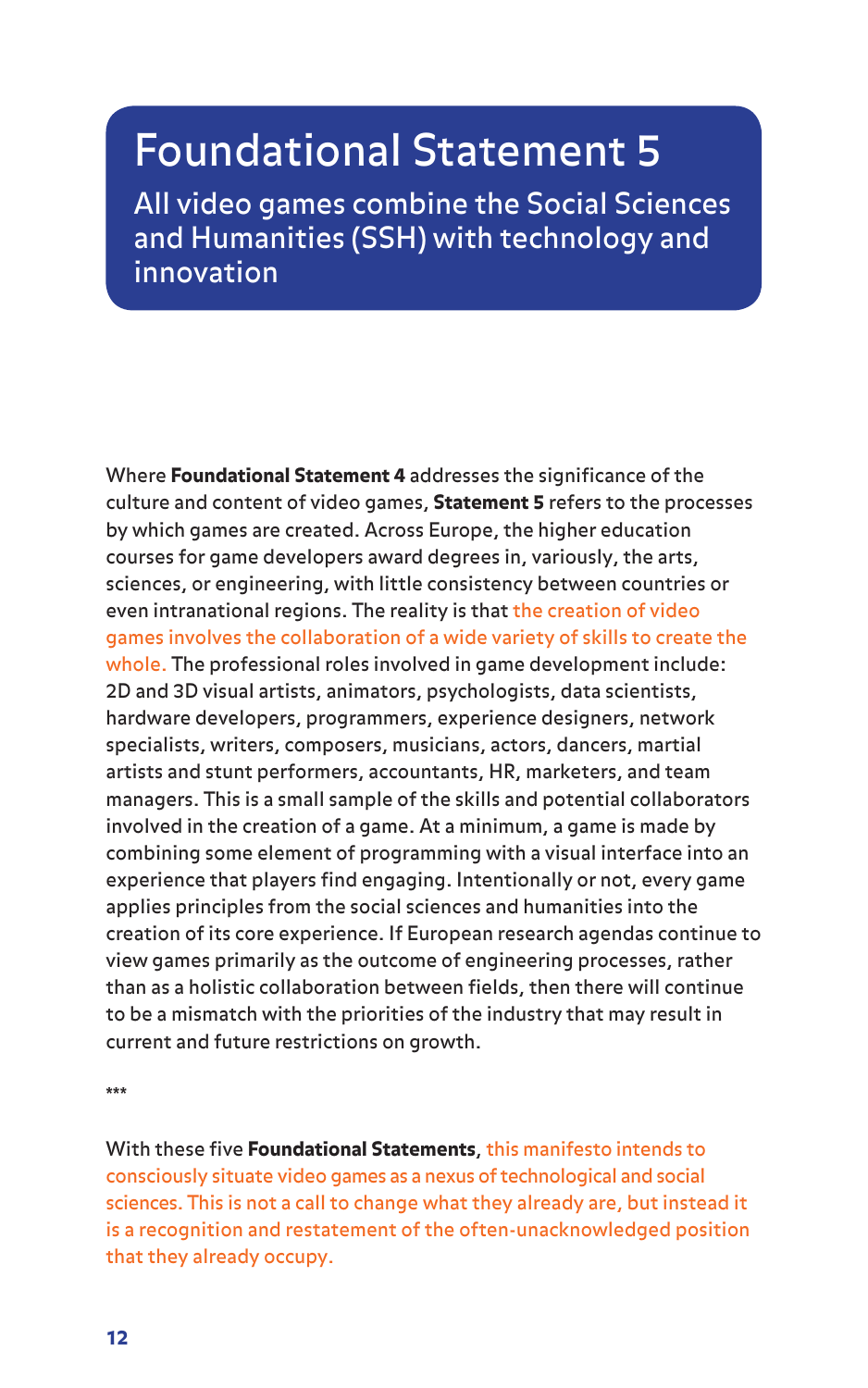### Foundational Statement 5

All video games combine the Social Sciences and Humanities (SSH) with technology and innovation

Where **Foundational Statement 4** addresses the significance of the culture and content of video games, Statement 5 refers to the processes by which games are created. Across Europe, the higher education courses for game developers award degrees in, variously, the arts, sciences, or engineering, with little consistency between countries or even intranational regions. The reality is that the creation of video games involves the collaboration of a wide variety of skills to create the whole. The professional roles involved in game development include: 2D and 3D visual artists, animators, psychologists, data scientists, hardware developers, programmers, experience designers, network specialists, writers, composers, musicians, actors, dancers, martial artists and stunt performers, accountants, HR, marketers, and team managers. This is a small sample of the skills and potential collaborators involved in the creation of a game. At a minimum, a game is made by combining some element of programming with a visual interface into an experience that players find engaging. Intentionally or not, every game applies principles from the social sciences and humanities into the creation of its core experience. If European research agendas continue to view games primarily as the outcome of engineering processes, rather than as a holistic collaboration between fields, then there will continue to be a mismatch with the priorities of the industry that may result in current and future restrictions on growth.

\*\*\*

With these five Foundational Statements, this manifesto intends to consciously situate video games as a nexus of technological and social sciences. This is not a call to change what they already are, but instead it is a recognition and restatement of the often-unacknowledged position that they already occupy.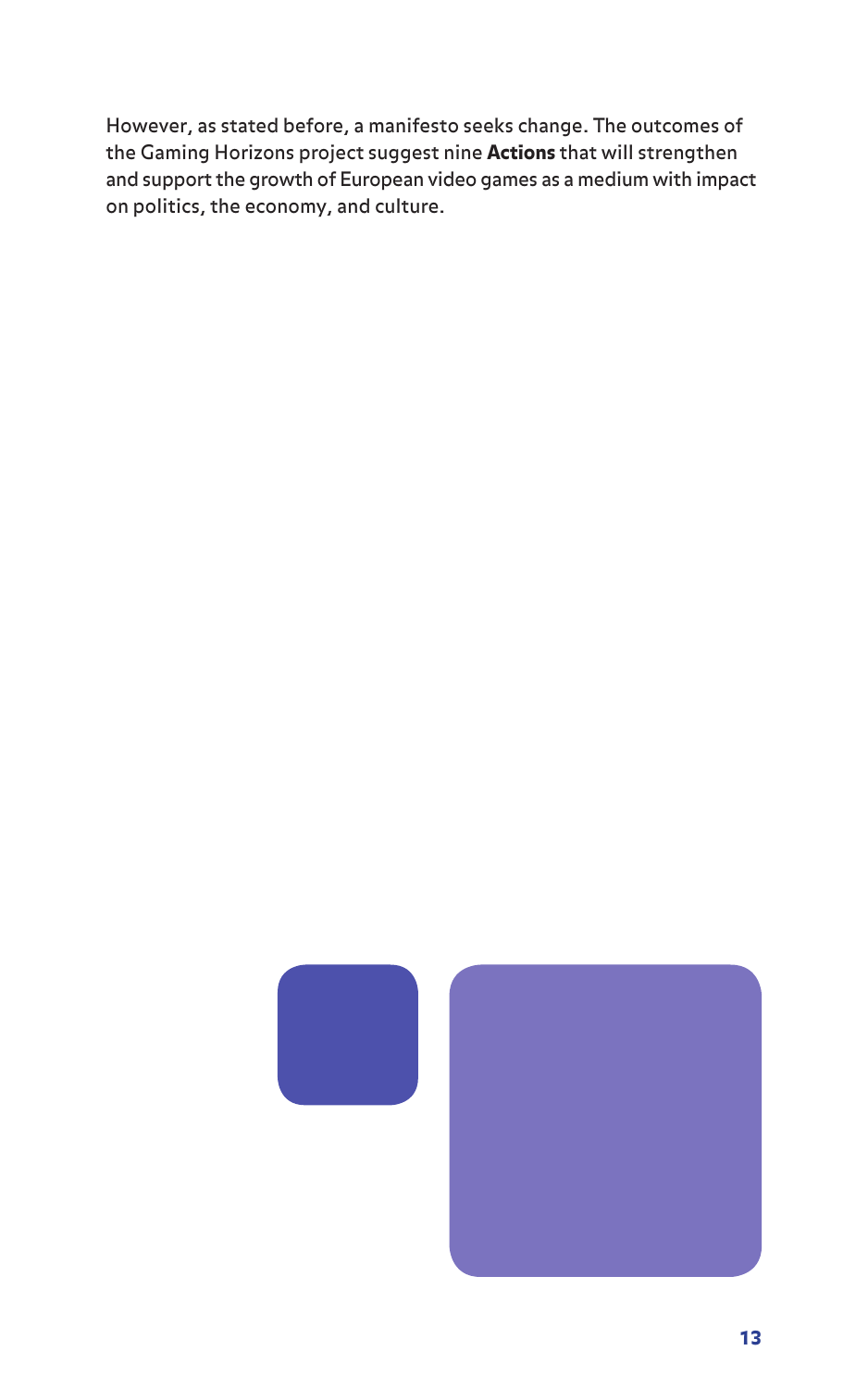However, as stated before, a manifesto seeks change. The outcomes of the Gaming Horizons project suggest nine **Actions** that will strengthen and support the growth of European video games as a medium with impact on politics, the economy, and culture.

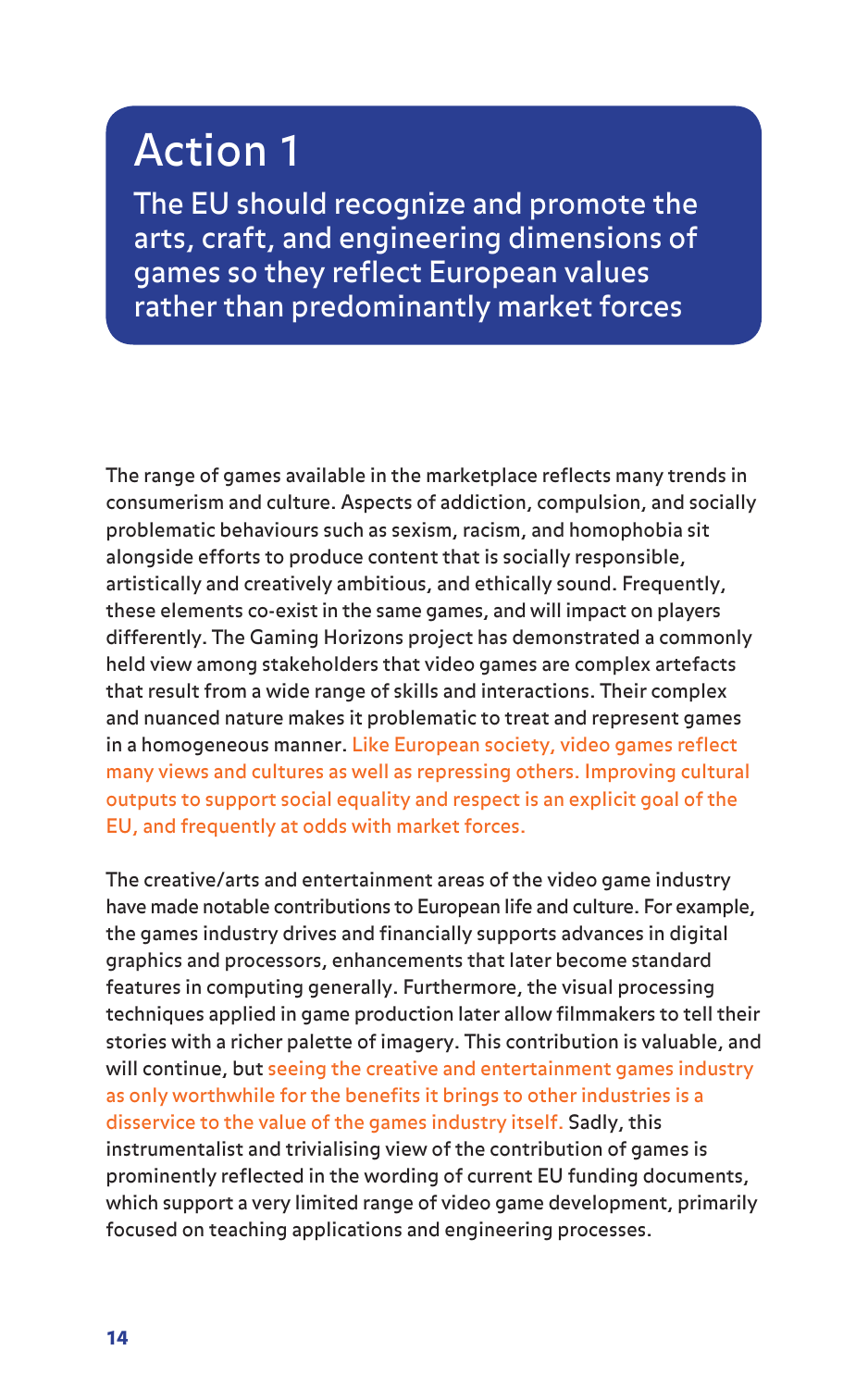The EU should recognize and promote the arts, craft, and engineering dimensions of games so they reflect European values rather than predominantly market forces

The range of games available in the marketplace reflects many trends in consumerism and culture. Aspects of addiction, compulsion, and socially problematic behaviours such as sexism, racism, and homophobia sit alongside efforts to produce content that is socially responsible, artistically and creatively ambitious, and ethically sound. Frequently, these elements co-exist in the same games, and will impact on players differently. The Gaming Horizons project has demonstrated a commonly held view among stakeholders that video games are complex artefacts that result from a wide range of skills and interactions. Their complex and nuanced nature makes it problematic to treat and represent games in a homogeneous manner. Like European society, video games reflect many views and cultures as well as repressing others. Improving cultural outputs to support social equality and respect is an explicit goal of the EU, and frequently at odds with market forces.

The creative/arts and entertainment areas of the video game industry have made notable contributions to European life and culture. For example, the games industry drives and financially supports advances in digital graphics and processors, enhancements that later become standard features in computing generally. Furthermore, the visual processing techniques applied in game production later allow filmmakers to tell their stories with a richer palette of imagery. This contribution is valuable, and will continue, but seeing the creative and entertainment games industry as only worthwhile for the benefits it brings to other industries is a disservice to the value of the games industry itself. Sadly, this instrumentalist and trivialising view of the contribution of games is prominently reflected in the wording of current EU funding documents, which support a very limited range of video game development, primarily focused on teaching applications and engineering processes.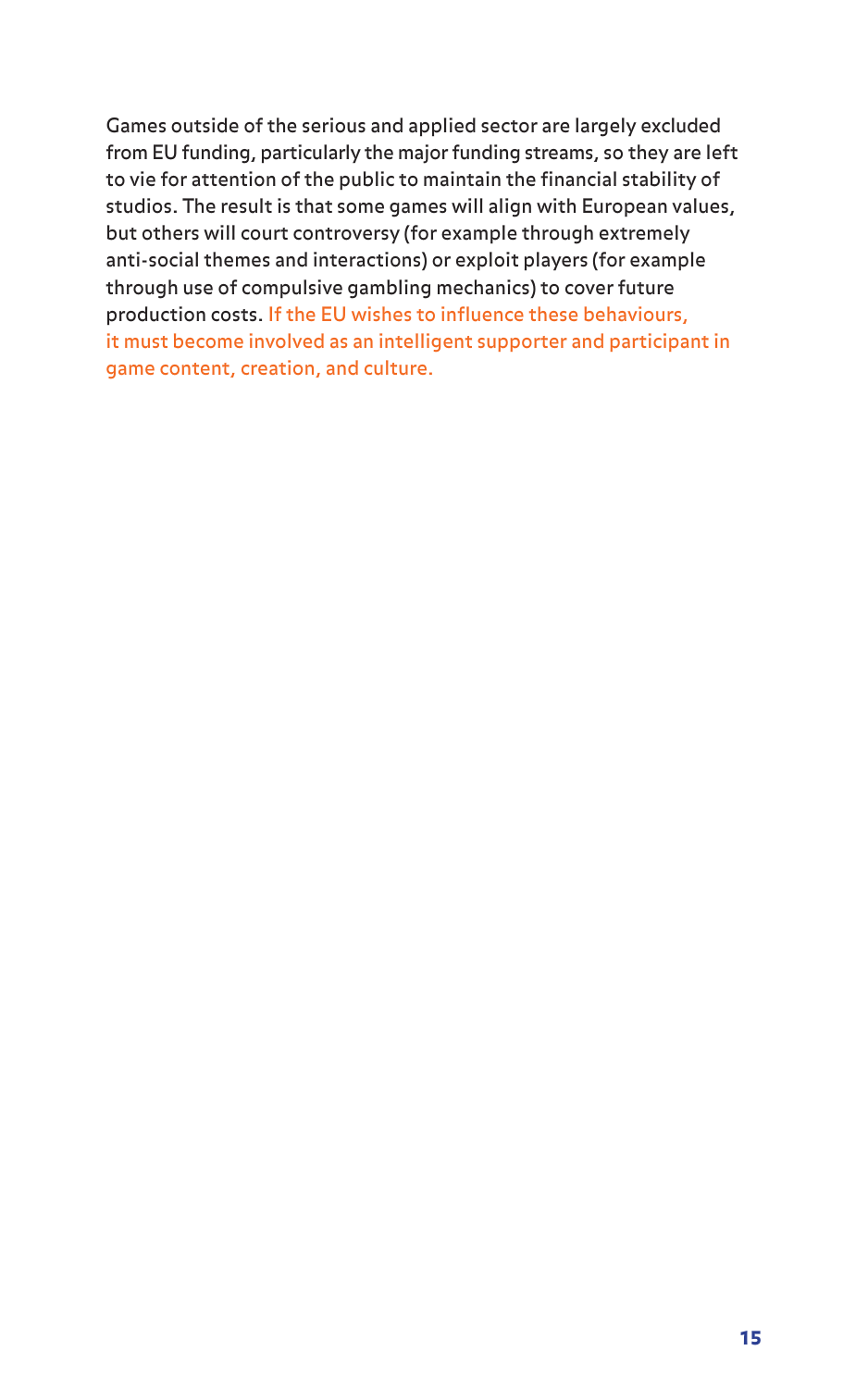Games outside of the serious and applied sector are largely excluded from EU funding, particularly the major funding streams, so they are left to vie for attention of the public to maintain the financial stability of studios. The result is that some games will align with European values, but others will court controversy (for example through extremely anti-social themes and interactions) or exploit players (for example through use of compulsive gambling mechanics) to cover future production costs. If the EU wishes to influence these behaviours, it must become involved as an intelligent supporter and participant in game content, creation, and culture.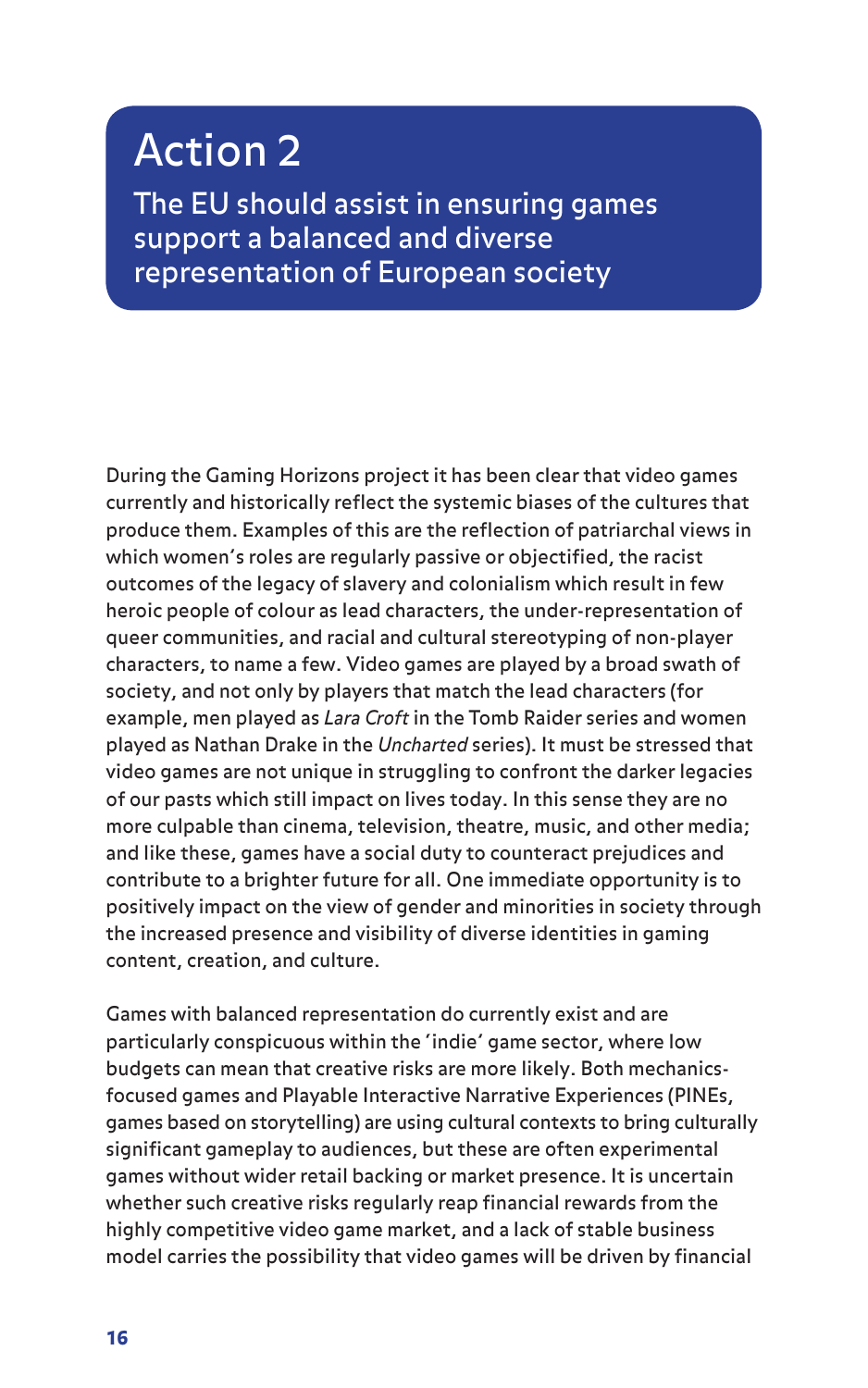The EU should assist in ensuring games support a balanced and diverse representation of European society

During the Gaming Horizons project it has been clear that video games currently and historically reflect the systemic biases of the cultures that produce them. Examples of this are the reflection of patriarchal views in which women's roles are regularly passive or objectified, the racist outcomes of the legacy of slavery and colonialism which result in few heroic people of colour as lead characters, the under-representation of queer communities, and racial and cultural stereotyping of non-player characters, to name a few. Video games are played by a broad swath of society, and not only by players that match the lead characters (for example, men played as *Lara Croft* in the Tomb Raider series and women played as Nathan Drake in the *Uncharted* series). It must be stressed that video games are not unique in struggling to confront the darker legacies of our pasts which still impact on lives today. In this sense they are no more culpable than cinema, television, theatre, music, and other media; and like these, games have a social duty to counteract prejudices and contribute to a brighter future for all. One immediate opportunity is to positively impact on the view of gender and minorities in society through the increased presence and visibility of diverse identities in gaming content, creation, and culture.

Games with balanced representation do currently exist and are particularly conspicuous within the 'indie' game sector, where low budgets can mean that creative risks are more likely. Both mechanicsfocused games and Playable Interactive Narrative Experiences (PINEs, games based on storytelling) are using cultural contexts to bring culturally significant gameplay to audiences, but these are often experimental games without wider retail backing or market presence. It is uncertain whether such creative risks regularly reap financial rewards from the highly competitive video game market, and a lack of stable business model carries the possibility that video games will be driven by financial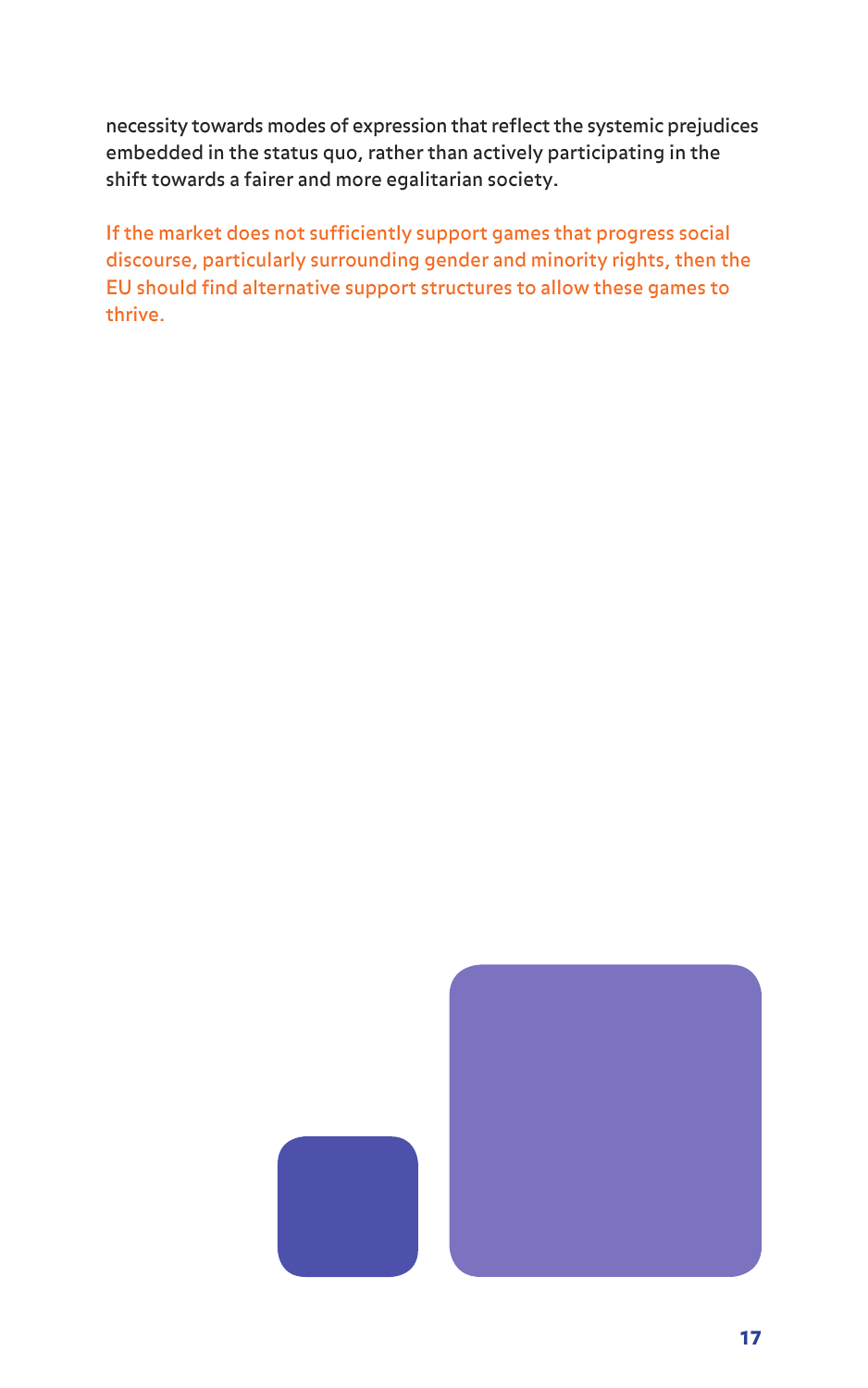necessity towards modes of expression that reflect the systemic prejudices embedded in the status quo, rather than actively participating in the shift towards a fairer and more egalitarian society.

If the market does not sufficiently support games that progress social discourse, particularly surrounding gender and minority rights, then the EU should find alternative support structures to allow these games to thrive.

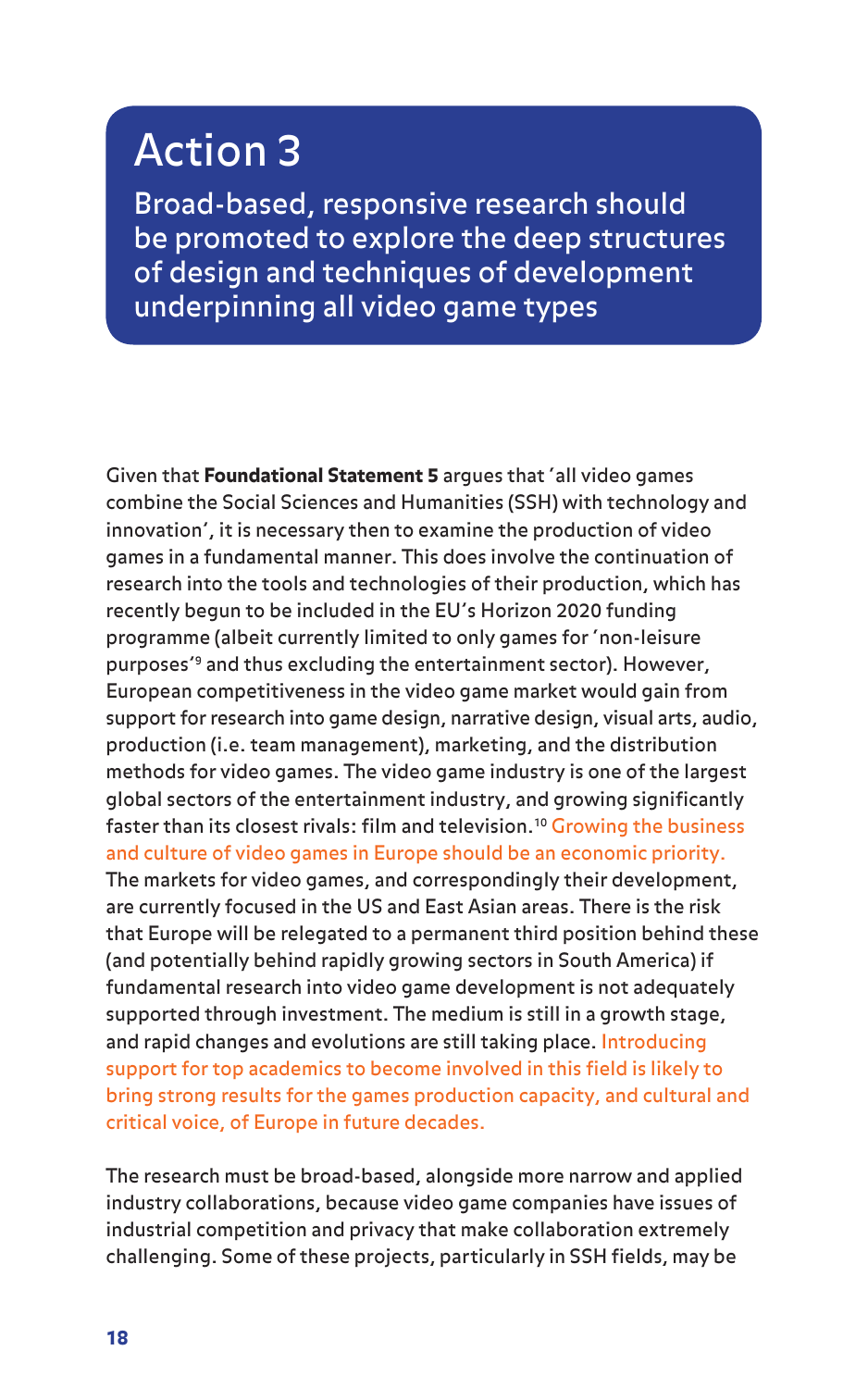Broad-based, responsive research should be promoted to explore the deep structures of design and techniques of development underpinning all video game types

Given that Foundational Statement 5 argues that 'all video games combine the Social Sciences and Humanities (SSH) with technology and innovation', it is necessary then to examine the production of video games in a fundamental manner. This does involve the continuation of research into the tools and technologies of their production, which has recently begun to be included in the EU's Horizon 2020 funding programme (albeit currently limited to only games for 'non-leisure purposes'9 and thus excluding the entertainment sector). However, European competitiveness in the video game market would gain from support for research into game design, narrative design, visual arts, audio, production (i.e. team management), marketing, and the distribution methods for video games. The video game industry is one of the largest global sectors of the entertainment industry, and growing significantly faster than its closest rivals: film and television.<sup>10</sup> Growing the business and culture of video games in Europe should be an economic priority. The markets for video games, and correspondingly their development, are currently focused in the US and East Asian areas. There is the risk that Europe will be relegated to a permanent third position behind these (and potentially behind rapidly growing sectors in South America) if fundamental research into video game development is not adequately supported through investment. The medium is still in a growth stage, and rapid changes and evolutions are still taking place. Introducing support for top academics to become involved in this field is likely to bring strong results for the games production capacity, and cultural and critical voice, of Europe in future decades.

The research must be broad-based, alongside more narrow and applied industry collaborations, because video game companies have issues of industrial competition and privacy that make collaboration extremely challenging. Some of these projects, particularly in SSH fields, may be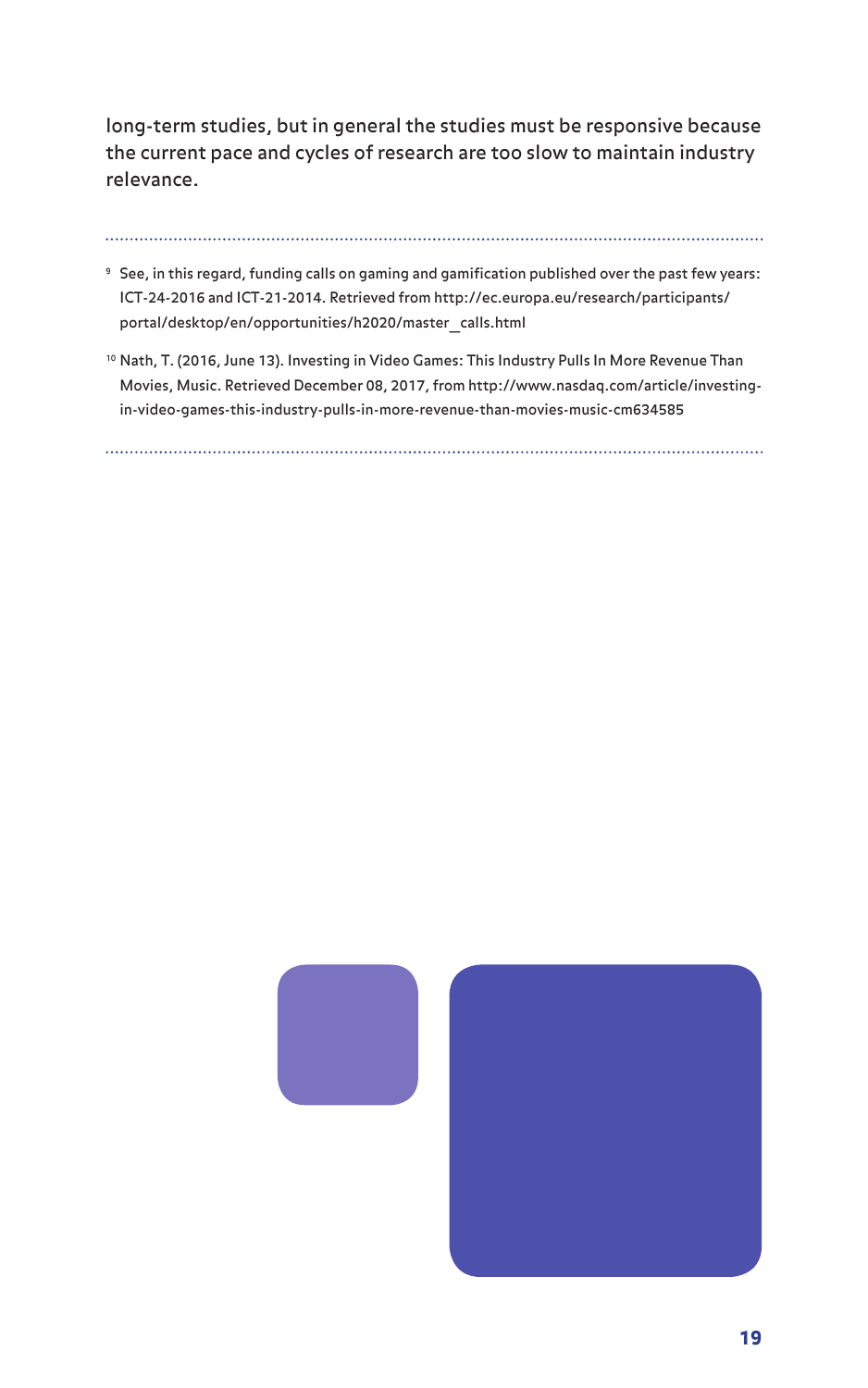long-term studies, but in general the studies must be responsive because the current pace and cycles of research are too slow to maintain industry relevance.

- 9 See, in this regard, funding calls on gaming and gamification published over the past few years: ICT-24-2016 and ICT-21-2014. Retrieved from http://ec.europa.eu/research/participants/ portal/desktop/en/opportunities/h2020/master\_calls.html
- <sup>10</sup> Nath, T. (2016, June 13). Investing in Video Games: This Industry Pulls In More Revenue Than Movies, Music. Retrieved December 08, 2017, from http://www.nasdaq.com/article/investingin-video-games-this-industry-pulls-in-more-revenue-than-movies-music-cm634585

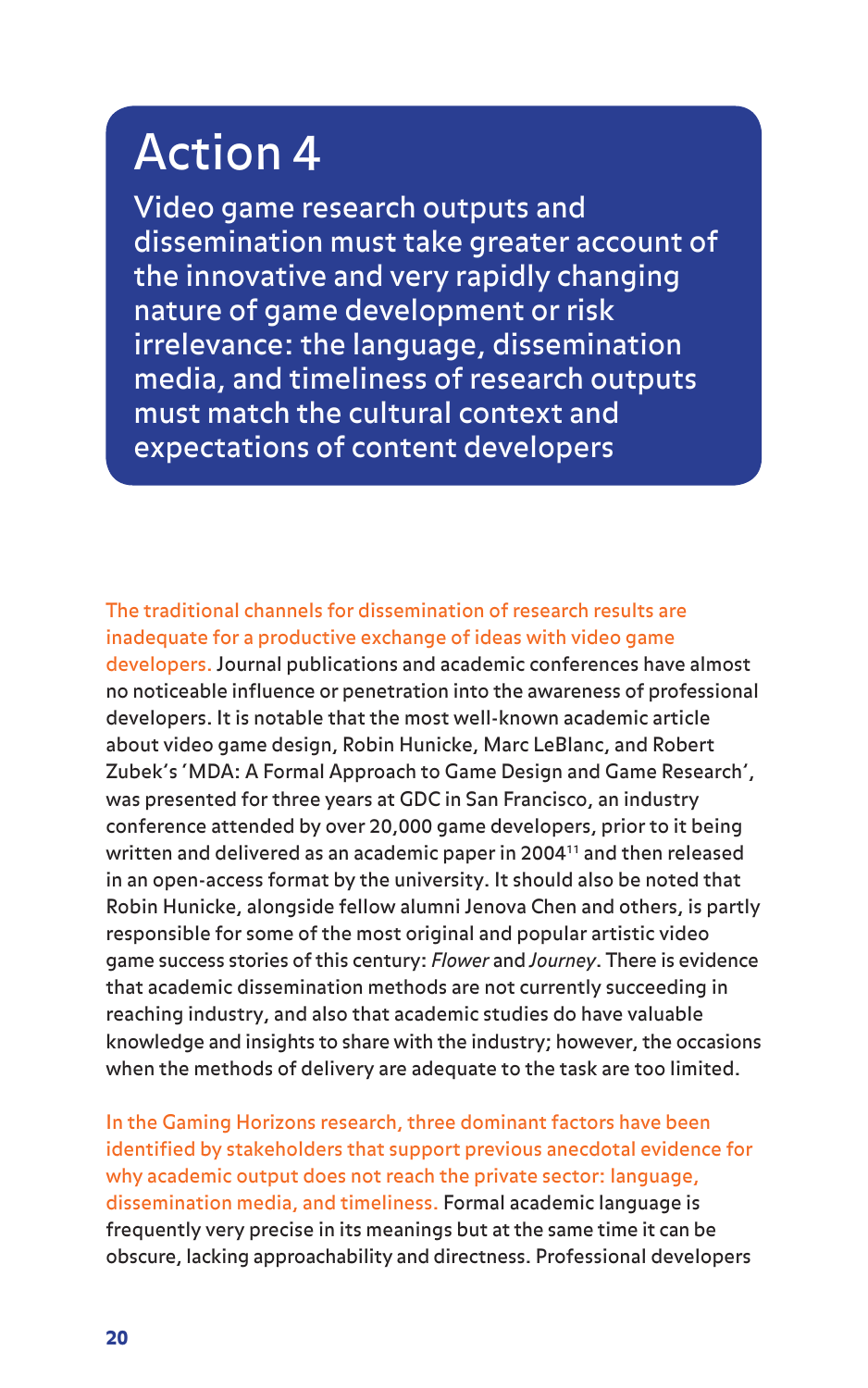Video game research outputs and dissemination must take greater account of the innovative and very rapidly changing nature of game development or risk irrelevance: the language, dissemination media, and timeliness of research outputs must match the cultural context and expectations of content developers

#### The traditional channels for dissemination of research results are inadequate for a productive exchange of ideas with video game

developers. Journal publications and academic conferences have almost no noticeable influence or penetration into the awareness of professional developers. It is notable that the most well-known academic article about video game design, Robin Hunicke, Marc LeBlanc, and Robert Zubek's 'MDA: A Formal Approach to Game Design and Game Research', was presented for three years at GDC in San Francisco, an industry conference attended by over 20,000 game developers, prior to it being written and delivered as an academic paper in 2004<sup>11</sup> and then released in an open-access format by the university. It should also be noted that Robin Hunicke, alongside fellow alumni Jenova Chen and others, is partly responsible for some of the most original and popular artistic video game success stories of this century: *Flower* and *Journey*. There is evidence that academic dissemination methods are not currently succeeding in reaching industry, and also that academic studies do have valuable knowledge and insights to share with the industry; however, the occasions when the methods of delivery are adequate to the task are too limited.

In the Gaming Horizons research, three dominant factors have been identified by stakeholders that support previous anecdotal evidence for why academic output does not reach the private sector: language, dissemination media, and timeliness. Formal academic language is frequently very precise in its meanings but at the same time it can be obscure, lacking approachability and directness. Professional developers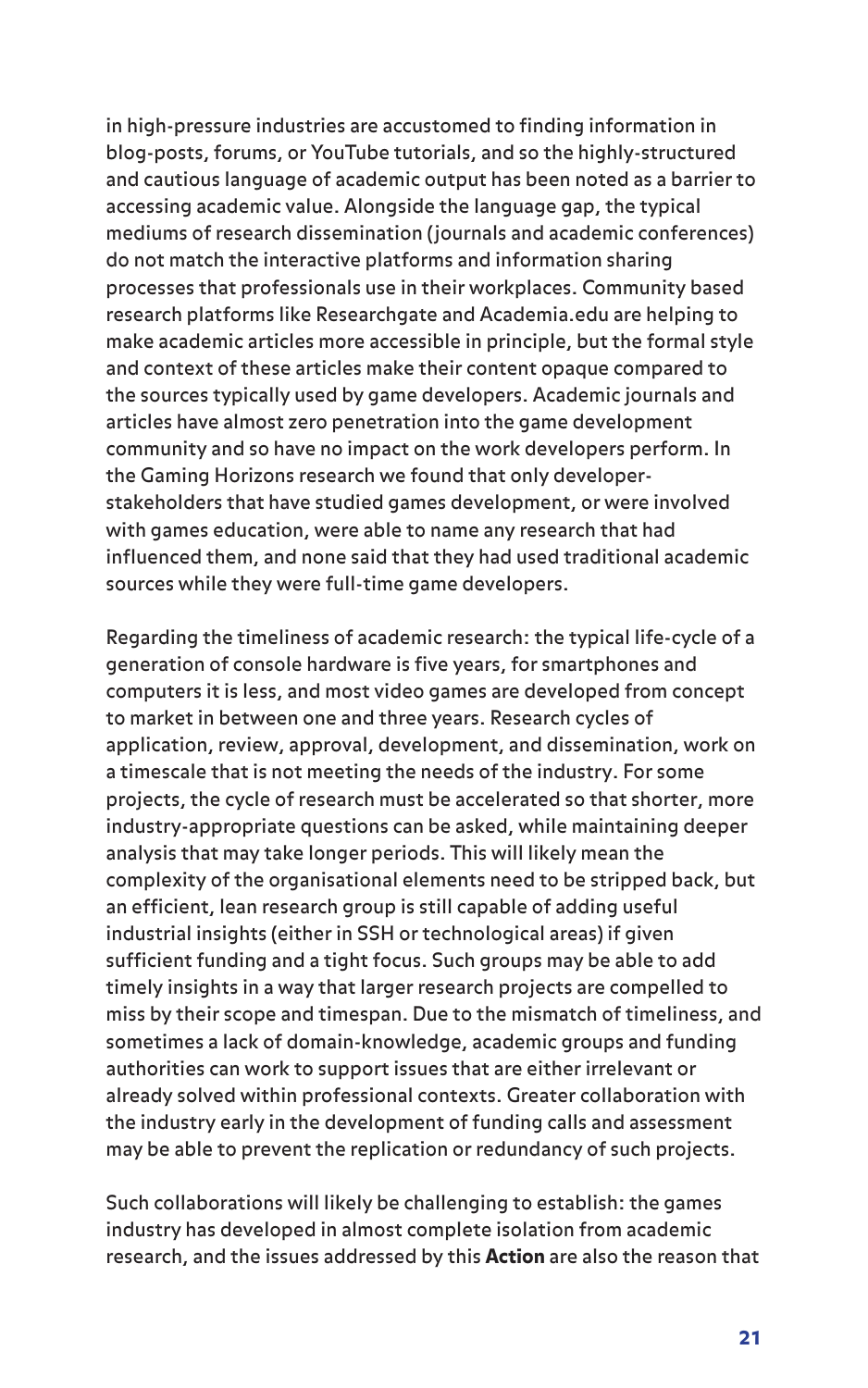in high-pressure industries are accustomed to finding information in blog-posts, forums, or YouTube tutorials, and so the highly-structured and cautious language of academic output has been noted as a barrier to accessing academic value. Alongside the language gap, the typical mediums of research dissemination (journals and academic conferences) do not match the interactive platforms and information sharing processes that professionals use in their workplaces. Community based research platforms like Researchgate and Academia.edu are helping to make academic articles more accessible in principle, but the formal style and context of these articles make their content opaque compared to the sources typically used by game developers. Academic journals and articles have almost zero penetration into the game development community and so have no impact on the work developers perform. In the Gaming Horizons research we found that only developerstakeholders that have studied games development, or were involved with games education, were able to name any research that had influenced them, and none said that they had used traditional academic sources while they were full-time game developers.

Regarding the timeliness of academic research: the typical life-cycle of a generation of console hardware is five years, for smartphones and computers it is less, and most video games are developed from concept to market in between one and three years. Research cycles of application, review, approval, development, and dissemination, work on a timescale that is not meeting the needs of the industry. For some projects, the cycle of research must be accelerated so that shorter, more industry-appropriate questions can be asked, while maintaining deeper analysis that may take longer periods. This will likely mean the complexity of the organisational elements need to be stripped back, but an efficient, lean research group is still capable of adding useful industrial insights (either in SSH or technological areas) if given sufficient funding and a tight focus. Such groups may be able to add timely insights in a way that larger research projects are compelled to miss by their scope and timespan. Due to the mismatch of timeliness, and sometimes a lack of domain-knowledge, academic groups and funding authorities can work to support issues that are either irrelevant or already solved within professional contexts. Greater collaboration with the industry early in the development of funding calls and assessment may be able to prevent the replication or redundancy of such projects.

Such collaborations will likely be challenging to establish: the games industry has developed in almost complete isolation from academic research, and the issues addressed by this **Action** are also the reason that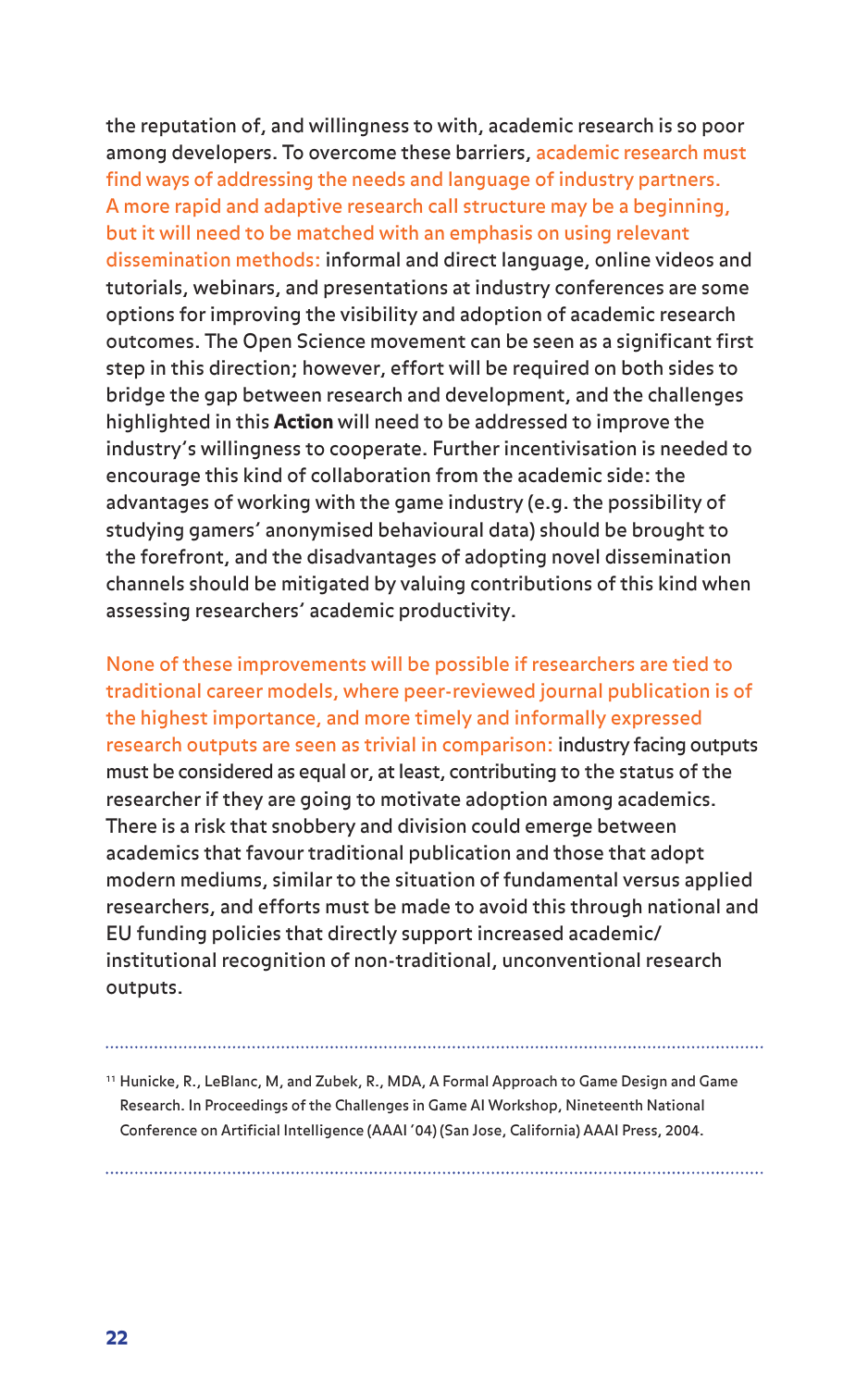the reputation of, and willingness to with, academic research is so poor among developers. To overcome these barriers, academic research must find ways of addressing the needs and language of industry partners. A more rapid and adaptive research call structure may be a beginning, but it will need to be matched with an emphasis on using relevant dissemination methods: informal and direct language, online videos and tutorials, webinars, and presentations at industry conferences are some options for improving the visibility and adoption of academic research outcomes. The Open Science movement can be seen as a significant first step in this direction; however, effort will be required on both sides to bridge the gap between research and development, and the challenges highlighted in this **Action** will need to be addressed to improve the industry's willingness to cooperate. Further incentivisation is needed to encourage this kind of collaboration from the academic side: the advantages of working with the game industry (e.g. the possibility of studying gamers' anonymised behavioural data) should be brought to the forefront, and the disadvantages of adopting novel dissemination channels should be mitigated by valuing contributions of this kind when assessing researchers' academic productivity.

None of these improvements will be possible if researchers are tied to traditional career models, where peer-reviewed journal publication is of the highest importance, and more timely and informally expressed research outputs are seen as trivial in comparison: industry facing outputs must be considered as equal or, at least, contributing to the status of the researcher if they are going to motivate adoption among academics. There is a risk that snobbery and division could emerge between academics that favour traditional publication and those that adopt modern mediums, similar to the situation of fundamental versus applied researchers, and efforts must be made to avoid this through national and EU funding policies that directly support increased academic/ institutional recognition of non-traditional, unconventional research outputs.

11 Hunicke, R., LeBlanc, M, and Zubek, R., MDA, A Formal Approach to Game Design and Game Research. In Proceedings of the Challenges in Game AI Workshop, Nineteenth National Conference on Artificial Intelligence (AAAI '04) (San Jose, California) AAAI Press, 2004.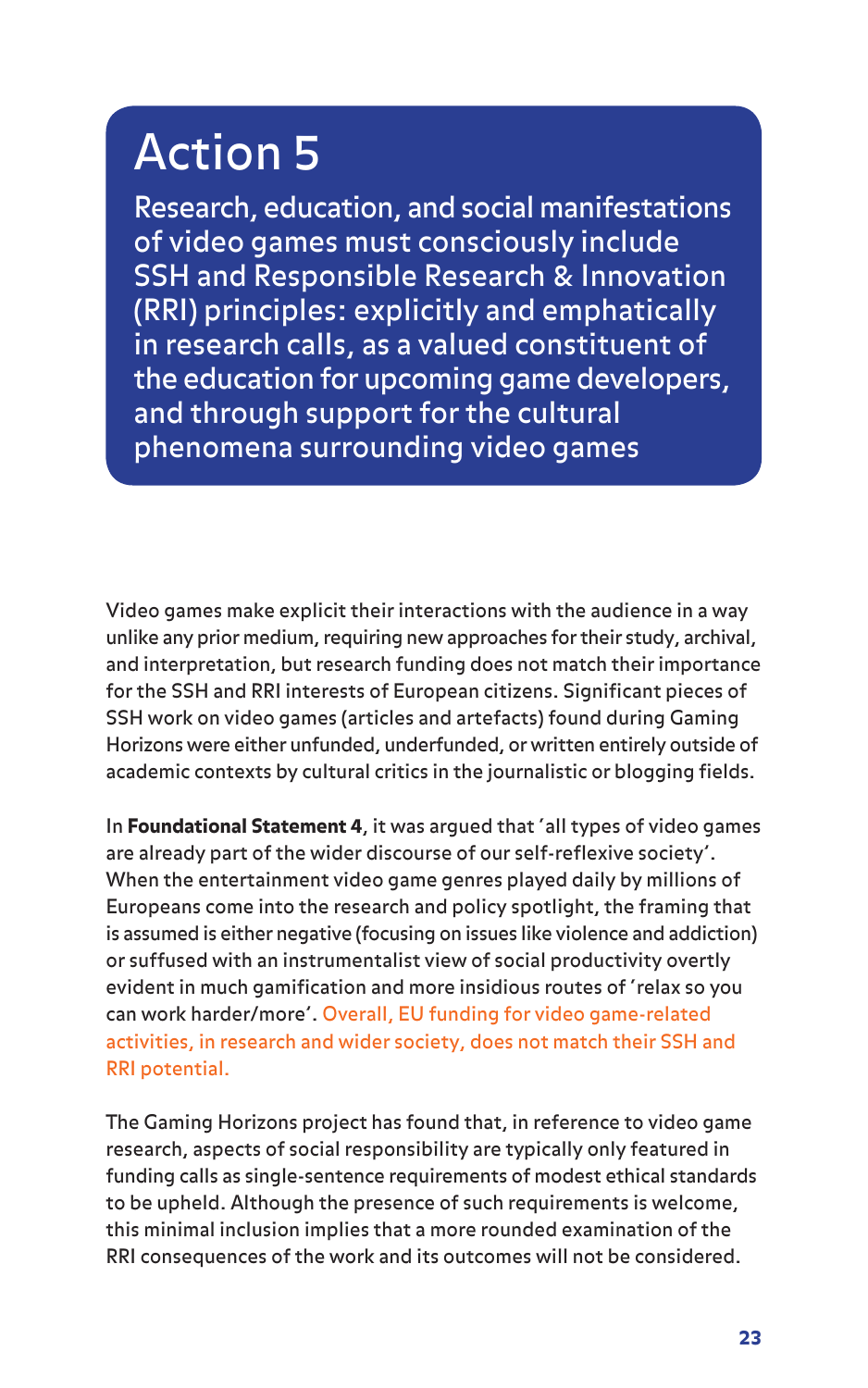Research, education, and social manifestations of video games must consciously include SSH and Responsible Research & Innovation (RRI) principles: explicitly and emphatically in research calls, as a valued constituent of the education for upcoming game developers, and through support for the cultural phenomena surrounding video games

Video games make explicit their interactions with the audience in a way unlike any prior medium, requiring new approaches for their study, archival, and interpretation, but research funding does not match their importance for the SSH and RRI interests of European citizens. Significant pieces of SSH work on video games (articles and artefacts) found during Gaming Horizons were either unfunded, underfunded, or written entirely outside of academic contexts by cultural critics in the journalistic or blogging fields.

In Foundational Statement 4, it was argued that 'all types of video games are already part of the wider discourse of our self-reflexive society'. When the entertainment video game genres played daily by millions of Europeans come into the research and policy spotlight, the framing that is assumed is either negative (focusing on issues like violence and addiction) or suffused with an instrumentalist view of social productivity overtly evident in much gamification and more insidious routes of 'relax so you can work harder/more'. Overall, EU funding for video game-related activities, in research and wider society, does not match their SSH and RRI potential.

The Gaming Horizons project has found that, in reference to video game research, aspects of social responsibility are typically only featured in funding calls as single-sentence requirements of modest ethical standards to be upheld. Although the presence of such requirements is welcome, this minimal inclusion implies that a more rounded examination of the RRI consequences of the work and its outcomes will not be considered.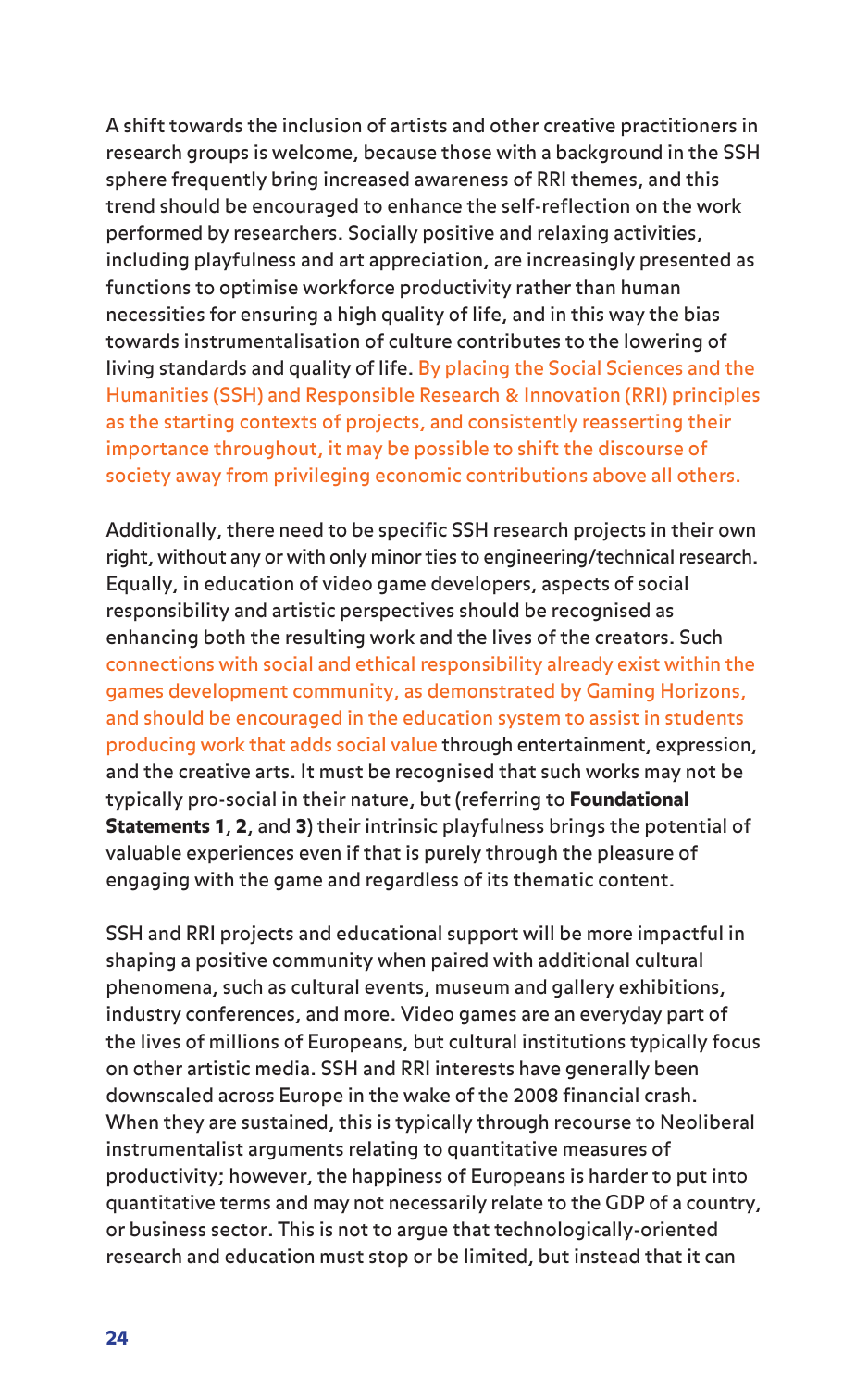A shift towards the inclusion of artists and other creative practitioners in research groups is welcome, because those with a background in the SSH sphere frequently bring increased awareness of RRI themes, and this trend should be encouraged to enhance the self-reflection on the work performed by researchers. Socially positive and relaxing activities, including playfulness and art appreciation, are increasingly presented as functions to optimise workforce productivity rather than human necessities for ensuring a high quality of life, and in this way the bias towards instrumentalisation of culture contributes to the lowering of living standards and quality of life. By placing the Social Sciences and the Humanities (SSH) and Responsible Research & Innovation (RRI) principles as the starting contexts of projects, and consistently reasserting their importance throughout, it may be possible to shift the discourse of society away from privileging economic contributions above all others.

Additionally, there need to be specific SSH research projects in their own right, without any or with only minor ties to engineering/technical research. Equally, in education of video game developers, aspects of social responsibility and artistic perspectives should be recognised as enhancing both the resulting work and the lives of the creators. Such connections with social and ethical responsibility already exist within the games development community, as demonstrated by Gaming Horizons, and should be encouraged in the education system to assist in students producing work that adds social value through entertainment, expression, and the creative arts. It must be recognised that such works may not be typically pro-social in their nature, but (referring to Foundational Statements 1, 2, and 3) their intrinsic playfulness brings the potential of valuable experiences even if that is purely through the pleasure of engaging with the game and regardless of its thematic content.

SSH and RRI projects and educational support will be more impactful in shaping a positive community when paired with additional cultural phenomena, such as cultural events, museum and gallery exhibitions, industry conferences, and more. Video games are an everyday part of the lives of millions of Europeans, but cultural institutions typically focus on other artistic media. SSH and RRI interests have generally been downscaled across Europe in the wake of the 2008 financial crash. When they are sustained, this is typically through recourse to Neoliberal instrumentalist arguments relating to quantitative measures of productivity; however, the happiness of Europeans is harder to put into quantitative terms and may not necessarily relate to the GDP of a country, or business sector. This is not to argue that technologically-oriented research and education must stop or be limited, but instead that it can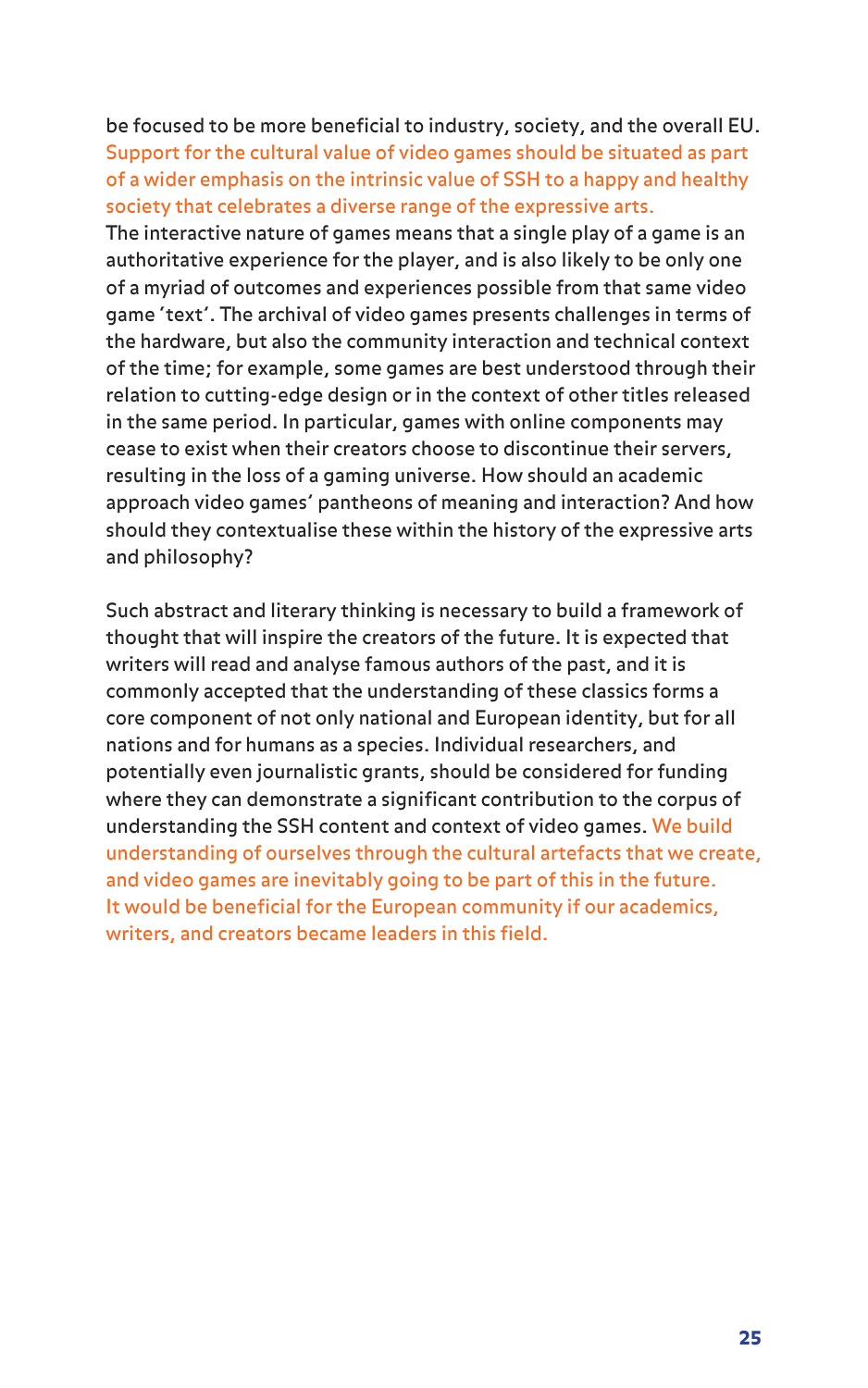be focused to be more beneficial to industry, society, and the overall EU. Support for the cultural value of video games should be situated as part of a wider emphasis on the intrinsic value of SSH to a happy and healthy society that celebrates a diverse range of the expressive arts.

The interactive nature of games means that a single play of a game is an authoritative experience for the player, and is also likely to be only one of a myriad of outcomes and experiences possible from that same video game 'text'. The archival of video games presents challenges in terms of the hardware, but also the community interaction and technical context of the time; for example, some games are best understood through their relation to cutting-edge design or in the context of other titles released in the same period. In particular, games with online components may cease to exist when their creators choose to discontinue their servers, resulting in the loss of a gaming universe. How should an academic approach video games' pantheons of meaning and interaction? And how should they contextualise these within the history of the expressive arts and philosophy?

Such abstract and literary thinking is necessary to build a framework of thought that will inspire the creators of the future. It is expected that writers will read and analyse famous authors of the past, and it is commonly accepted that the understanding of these classics forms a core component of not only national and European identity, but for all nations and for humans as a species. Individual researchers, and potentially even journalistic grants, should be considered for funding where they can demonstrate a significant contribution to the corpus of understanding the SSH content and context of video games. We build understanding of ourselves through the cultural artefacts that we create, and video games are inevitably going to be part of this in the future. It would be beneficial for the European community if our academics, writers, and creators became leaders in this field.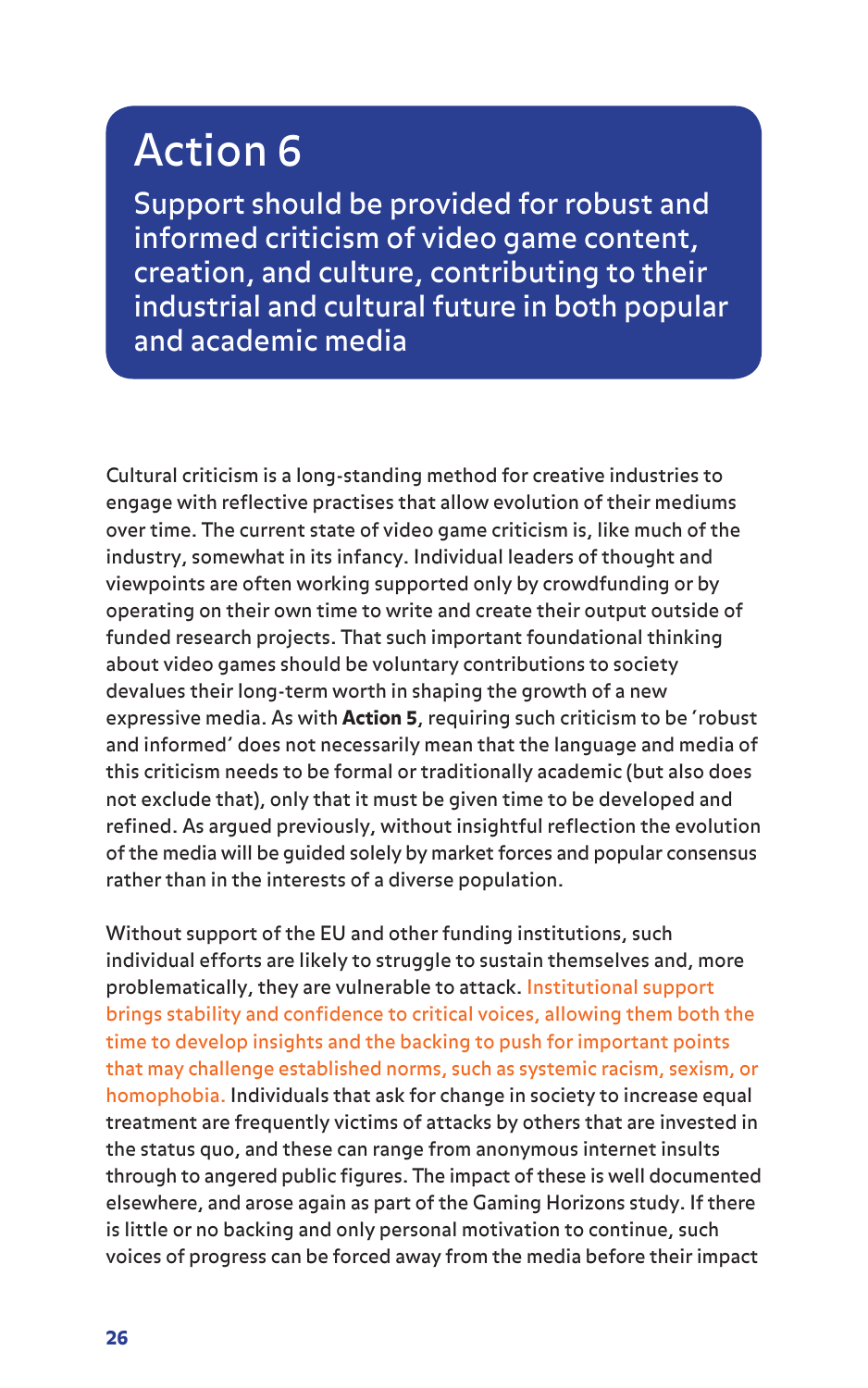Support should be provided for robust and informed criticism of video game content, creation, and culture, contributing to their industrial and cultural future in both popular and academic media

Cultural criticism is a long-standing method for creative industries to engage with reflective practises that allow evolution of their mediums over time. The current state of video game criticism is, like much of the industry, somewhat in its infancy. Individual leaders of thought and viewpoints are often working supported only by crowdfunding or by operating on their own time to write and create their output outside of funded research projects. That such important foundational thinking about video games should be voluntary contributions to society devalues their long-term worth in shaping the growth of a new expressive media. As with Action 5, requiring such criticism to be 'robust and informed' does not necessarily mean that the language and media of this criticism needs to be formal or traditionally academic (but also does not exclude that), only that it must be given time to be developed and refined. As argued previously, without insightful reflection the evolution of the media will be guided solely by market forces and popular consensus rather than in the interests of a diverse population.

Without support of the EU and other funding institutions, such individual efforts are likely to struggle to sustain themselves and, more problematically, they are vulnerable to attack. Institutional support brings stability and confidence to critical voices, allowing them both the time to develop insights and the backing to push for important points that may challenge established norms, such as systemic racism, sexism, or homophobia. Individuals that ask for change in society to increase equal treatment are frequently victims of attacks by others that are invested in the status quo, and these can range from anonymous internet insults through to angered public figures. The impact of these is well documented elsewhere, and arose again as part of the Gaming Horizons study. If there is little or no backing and only personal motivation to continue, such voices of progress can be forced away from the media before their impact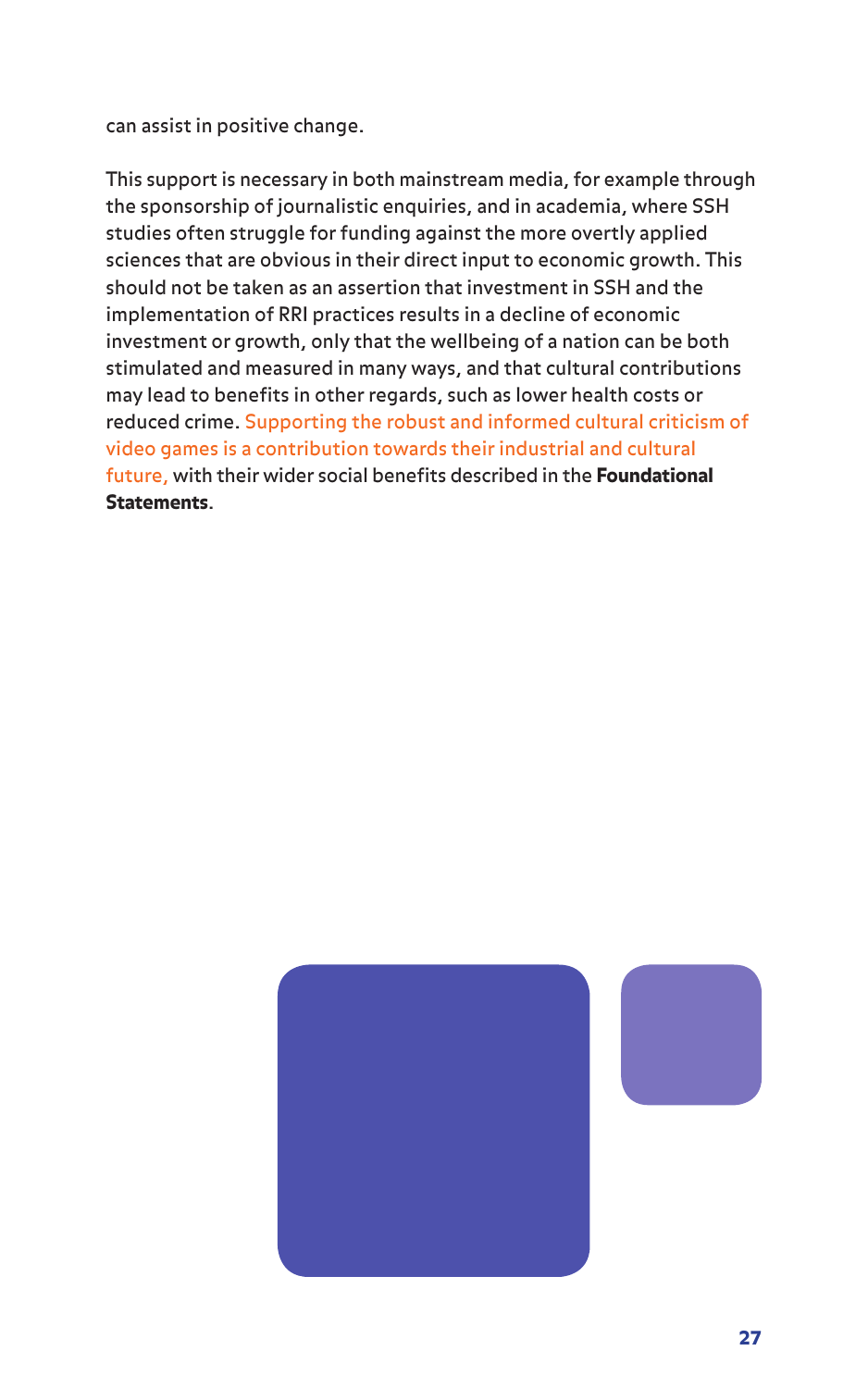can assist in positive change.

This support is necessary in both mainstream media, for example through the sponsorship of journalistic enquiries, and in academia, where SSH studies often struggle for funding against the more overtly applied sciences that are obvious in their direct input to economic growth. This should not be taken as an assertion that investment in SSH and the implementation of RRI practices results in a decline of economic investment or growth, only that the wellbeing of a nation can be both stimulated and measured in many ways, and that cultural contributions may lead to benefits in other regards, such as lower health costs or reduced crime. Supporting the robust and informed cultural criticism of video games is a contribution towards their industrial and cultural future, with their wider social benefits described in the **Foundational** Statements.

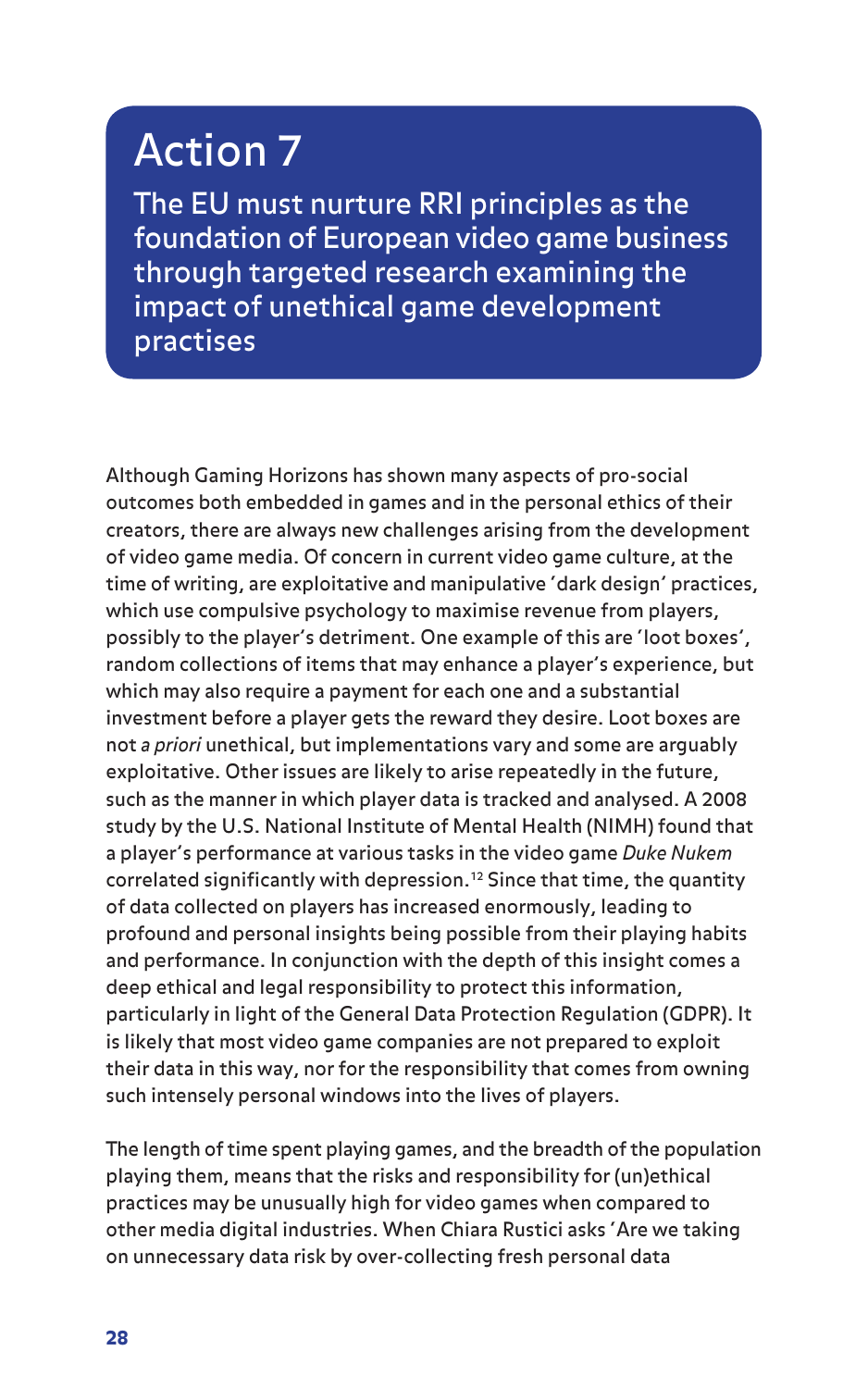The EU must nurture RRI principles as the foundation of European video game business through targeted research examining the impact of unethical game development practises

Although Gaming Horizons has shown many aspects of pro-social outcomes both embedded in games and in the personal ethics of their creators, there are always new challenges arising from the development of video game media. Of concern in current video game culture, at the time of writing, are exploitative and manipulative 'dark design' practices, which use compulsive psychology to maximise revenue from players, possibly to the player's detriment. One example of this are 'loot boxes', random collections of items that may enhance a player's experience, but which may also require a payment for each one and a substantial investment before a player gets the reward they desire. Loot boxes are not *a priori* unethical, but implementations vary and some are arguably exploitative. Other issues are likely to arise repeatedly in the future, such as the manner in which player data is tracked and analysed. A 2008 study by the U.S. National Institute of Mental Health (NIMH) found that a player's performance at various tasks in the video game *Duke Nukem* correlated significantly with depression.<sup>12</sup> Since that time, the quantity of data collected on players has increased enormously, leading to profound and personal insights being possible from their playing habits and performance. In conjunction with the depth of this insight comes a deep ethical and legal responsibility to protect this information, particularly in light of the General Data Protection Regulation (GDPR). It is likely that most video game companies are not prepared to exploit their data in this way, nor for the responsibility that comes from owning such intensely personal windows into the lives of players.

The length of time spent playing games, and the breadth of the population playing them, means that the risks and responsibility for (un)ethical practices may be unusually high for video games when compared to other media digital industries. When Chiara Rustici asks 'Are we taking on unnecessary data risk by over-collecting fresh personal data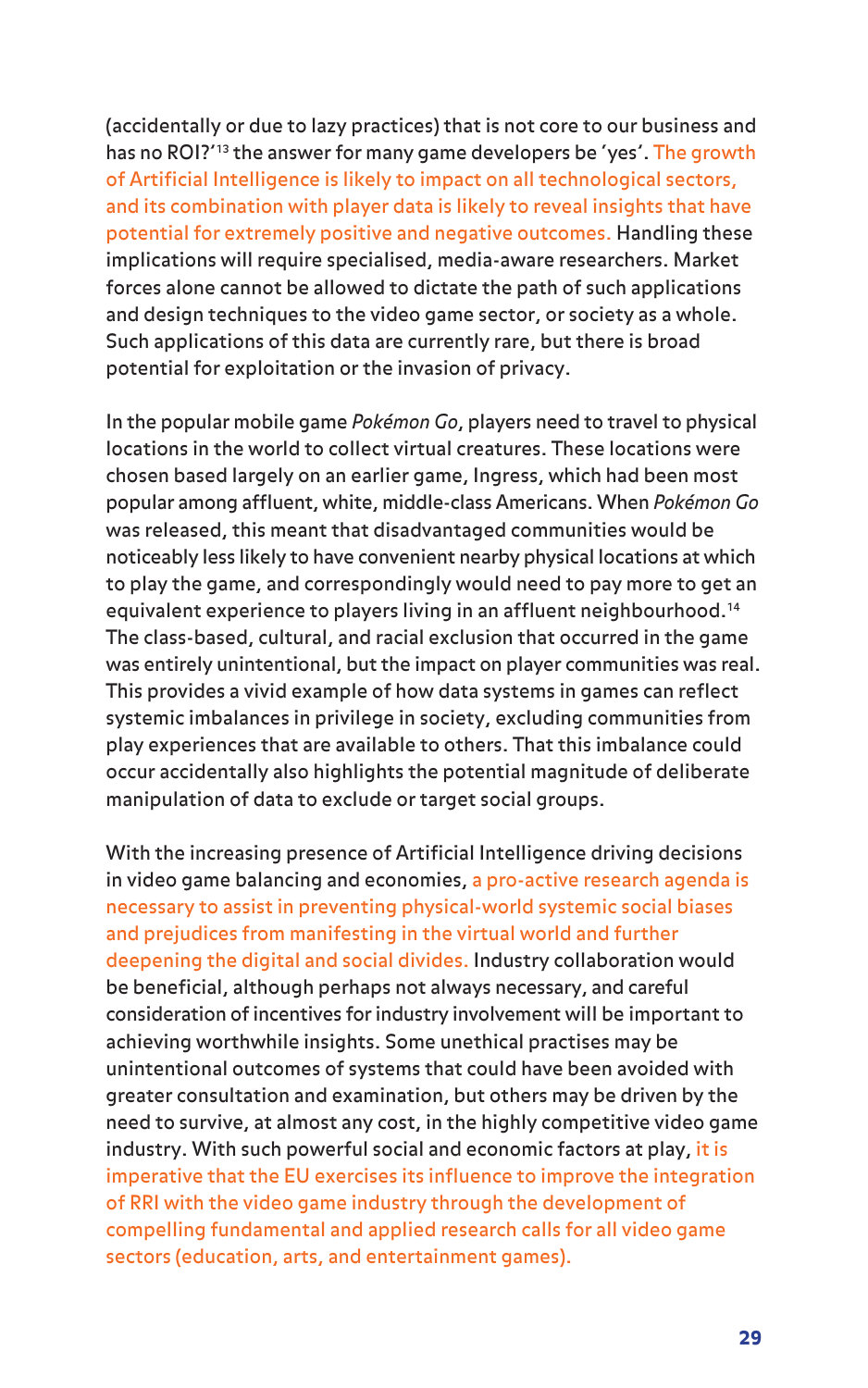(accidentally or due to lazy practices) that is not core to our business and has no ROI?<sup>'13</sup> the answer for many game developers be 'yes'. The growth of Artificial Intelligence is likely to impact on all technological sectors, and its combination with player data is likely to reveal insights that have potential for extremely positive and negative outcomes. Handling these implications will require specialised, media-aware researchers. Market forces alone cannot be allowed to dictate the path of such applications and design techniques to the video game sector, or society as a whole. Such applications of this data are currently rare, but there is broad potential for exploitation or the invasion of privacy.

In the popular mobile game *Pokémon Go*, players need to travel to physical locations in the world to collect virtual creatures. These locations were chosen based largely on an earlier game, Ingress, which had been most popular among affluent, white, middle-class Americans. When *Pokémon Go* was released, this meant that disadvantaged communities would be noticeably less likely to have convenient nearby physical locations at which to play the game, and correspondingly would need to pay more to get an equivalent experience to players living in an affluent neighbourhood.<sup>14</sup> The class-based, cultural, and racial exclusion that occurred in the game was entirely unintentional, but the impact on player communities was real. This provides a vivid example of how data systems in games can reflect systemic imbalances in privilege in society, excluding communities from play experiences that are available to others. That this imbalance could occur accidentally also highlights the potential magnitude of deliberate manipulation of data to exclude or target social groups.

With the increasing presence of Artificial Intelligence driving decisions in video game balancing and economies, a pro-active research agenda is necessary to assist in preventing physical-world systemic social biases and prejudices from manifesting in the virtual world and further deepening the digital and social divides. Industry collaboration would be beneficial, although perhaps not always necessary, and careful consideration of incentives for industry involvement will be important to achieving worthwhile insights. Some unethical practises may be unintentional outcomes of systems that could have been avoided with greater consultation and examination, but others may be driven by the need to survive, at almost any cost, in the highly competitive video game industry. With such powerful social and economic factors at play, it is imperative that the EU exercises its influence to improve the integration of RRI with the video game industry through the development of compelling fundamental and applied research calls for all video game sectors (education, arts, and entertainment games).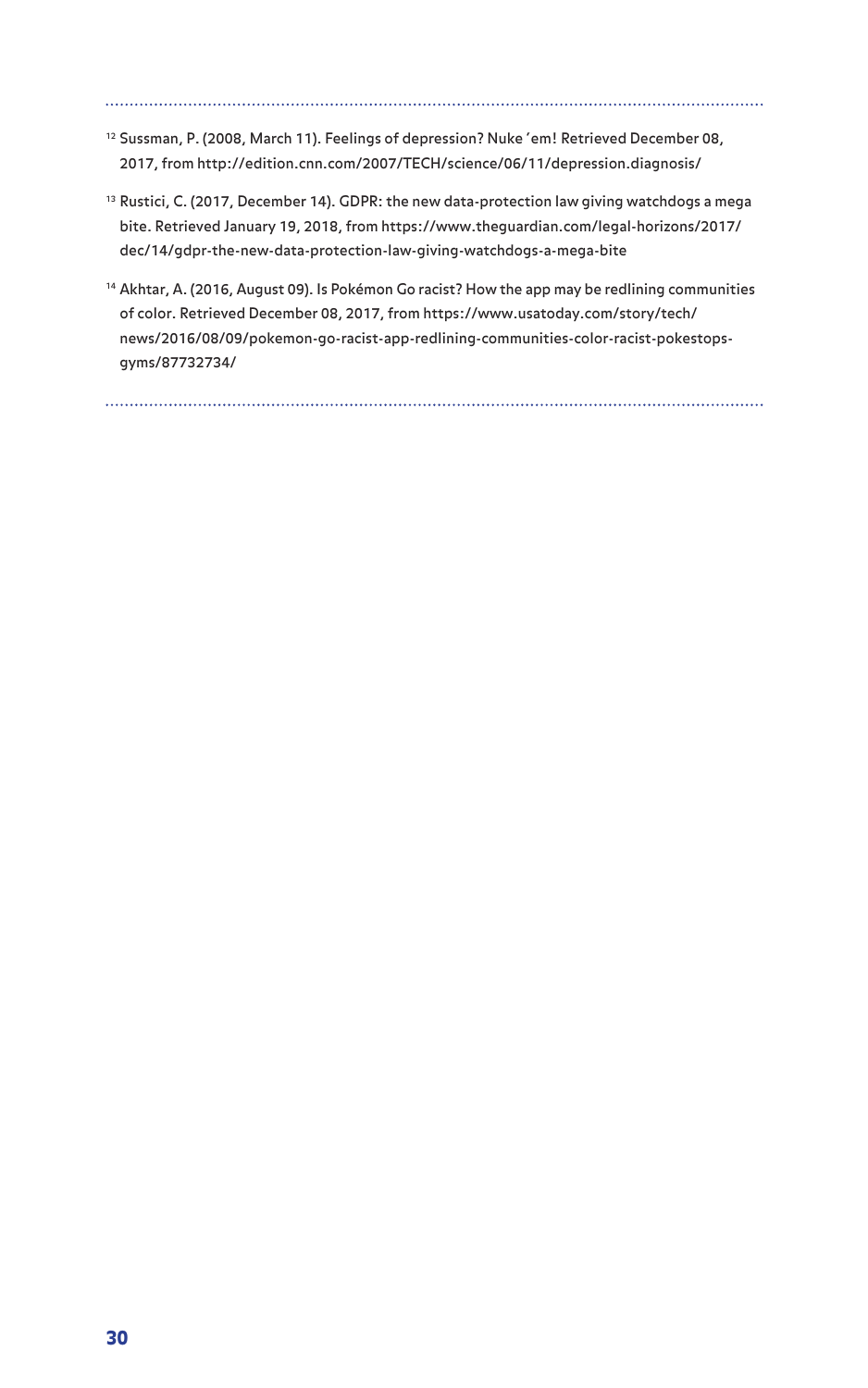<sup>12</sup> Sussman, P. (2008, March 11). Feelings of depression? Nuke 'em! Retrieved December 08, 2017, from http://edition.cnn.com/2007/TECH/science/06/11/depression.diagnosis/

لتتبيت

- <sup>13</sup> Rustici, C. (2017, December 14). GDPR: the new data-protection law giving watchdogs a mega bite. Retrieved January 19, 2018, from https://www.theguardian.com/legal-horizons/2017/ dec/14/gdpr-the-new-data-protection-law-giving-watchdogs-a-mega-bite
- <sup>14</sup> Akhtar, A. (2016, August 09). Is Pokémon Go racist? How the app may be redlining communities of color. Retrieved December 08, 2017, from https://www.usatoday.com/story/tech/ news/2016/08/09/pokemon-go-racist-app-redlining-communities-color-racist-pokestopsgyms/87732734/

. . . . . . . . . . . .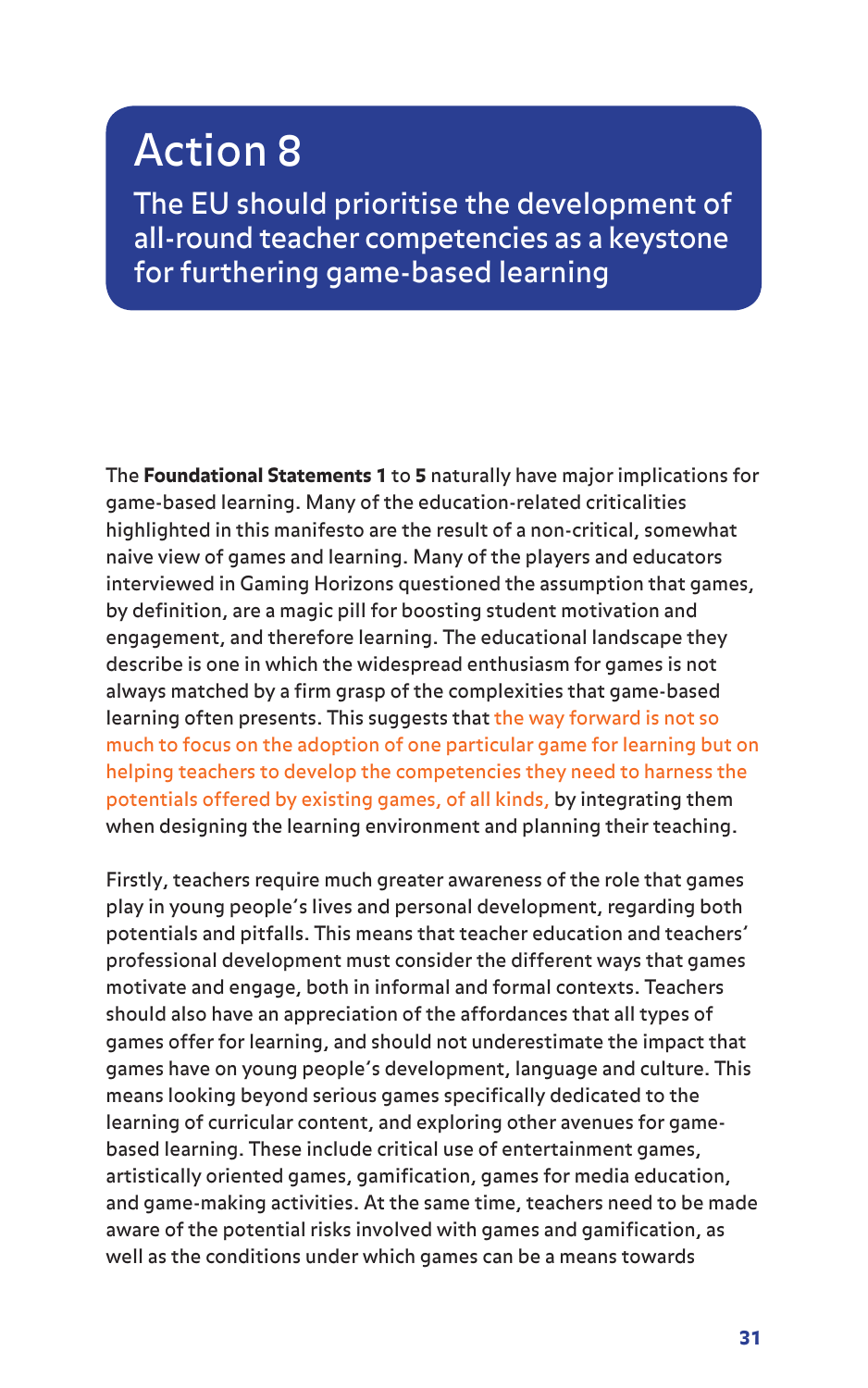The EU should prioritise the development of all-round teacher competencies as a keystone for furthering game-based learning

The Foundational Statements 1 to 5 naturally have major implications for game-based learning. Many of the education-related criticalities highlighted in this manifesto are the result of a non-critical, somewhat naive view of games and learning. Many of the players and educators interviewed in Gaming Horizons questioned the assumption that games, by definition, are a magic pill for boosting student motivation and engagement, and therefore learning. The educational landscape they describe is one in which the widespread enthusiasm for games is not always matched by a firm grasp of the complexities that game-based learning often presents. This suggests that the way forward is not so much to focus on the adoption of one particular game for learning but on helping teachers to develop the competencies they need to harness the potentials offered by existing games, of all kinds, by integrating them when designing the learning environment and planning their teaching.

Firstly, teachers require much greater awareness of the role that games play in young people's lives and personal development, regarding both potentials and pitfalls. This means that teacher education and teachers' professional development must consider the different ways that games motivate and engage, both in informal and formal contexts. Teachers should also have an appreciation of the affordances that all types of games offer for learning, and should not underestimate the impact that games have on young people's development, language and culture. This means looking beyond serious games specifically dedicated to the learning of curricular content, and exploring other avenues for gamebased learning. These include critical use of entertainment games, artistically oriented games, gamification, games for media education, and game-making activities. At the same time, teachers need to be made aware of the potential risks involved with games and gamification, as well as the conditions under which games can be a means towards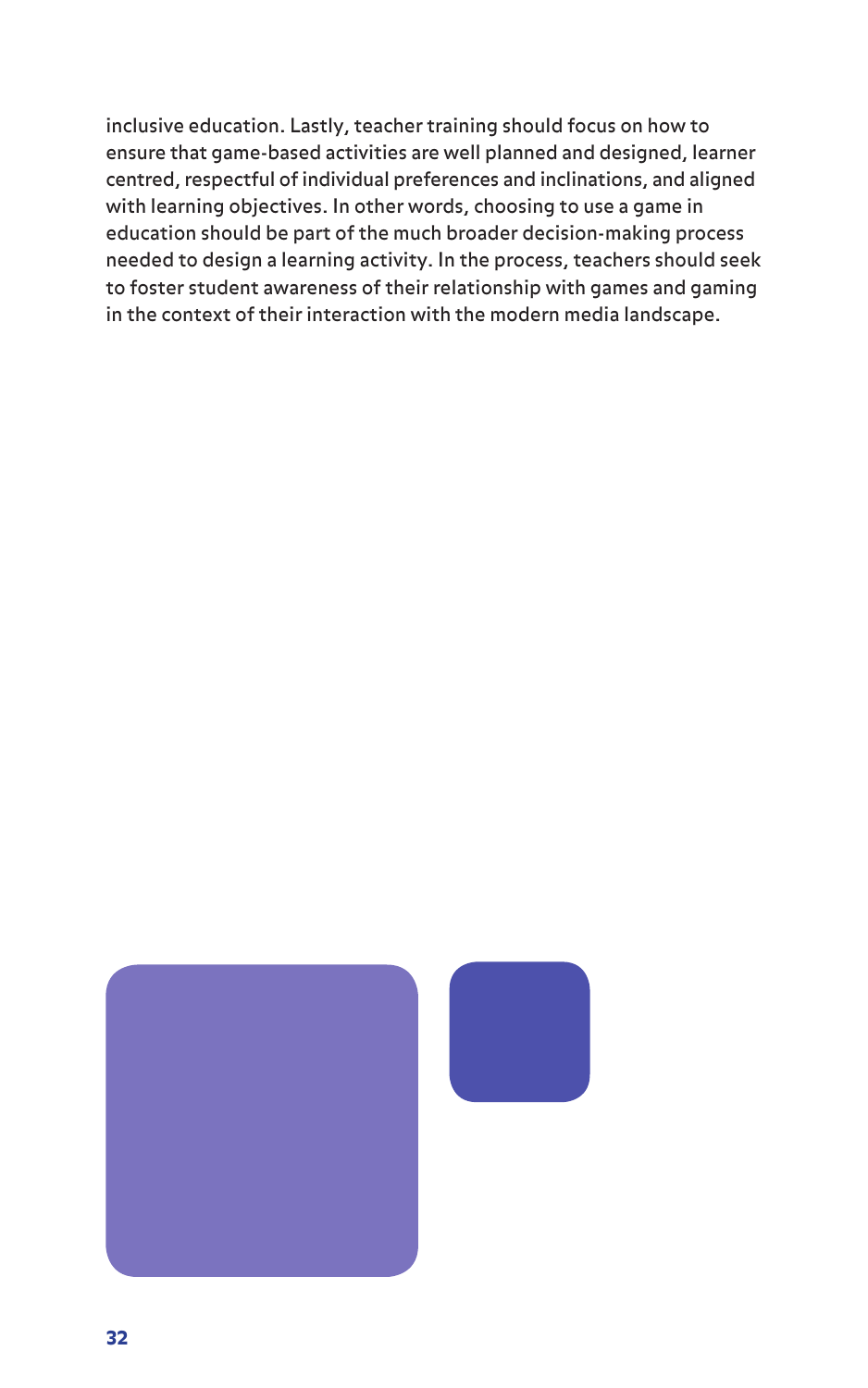inclusive education. Lastly, teacher training should focus on how to ensure that game-based activities are well planned and designed, learner centred, respectful of individual preferences and inclinations, and aligned with learning objectives. In other words, choosing to use a game in education should be part of the much broader decision-making process needed to design a learning activity. In the process, teachers should seek to foster student awareness of their relationship with games and gaming in the context of their interaction with the modern media landscape.

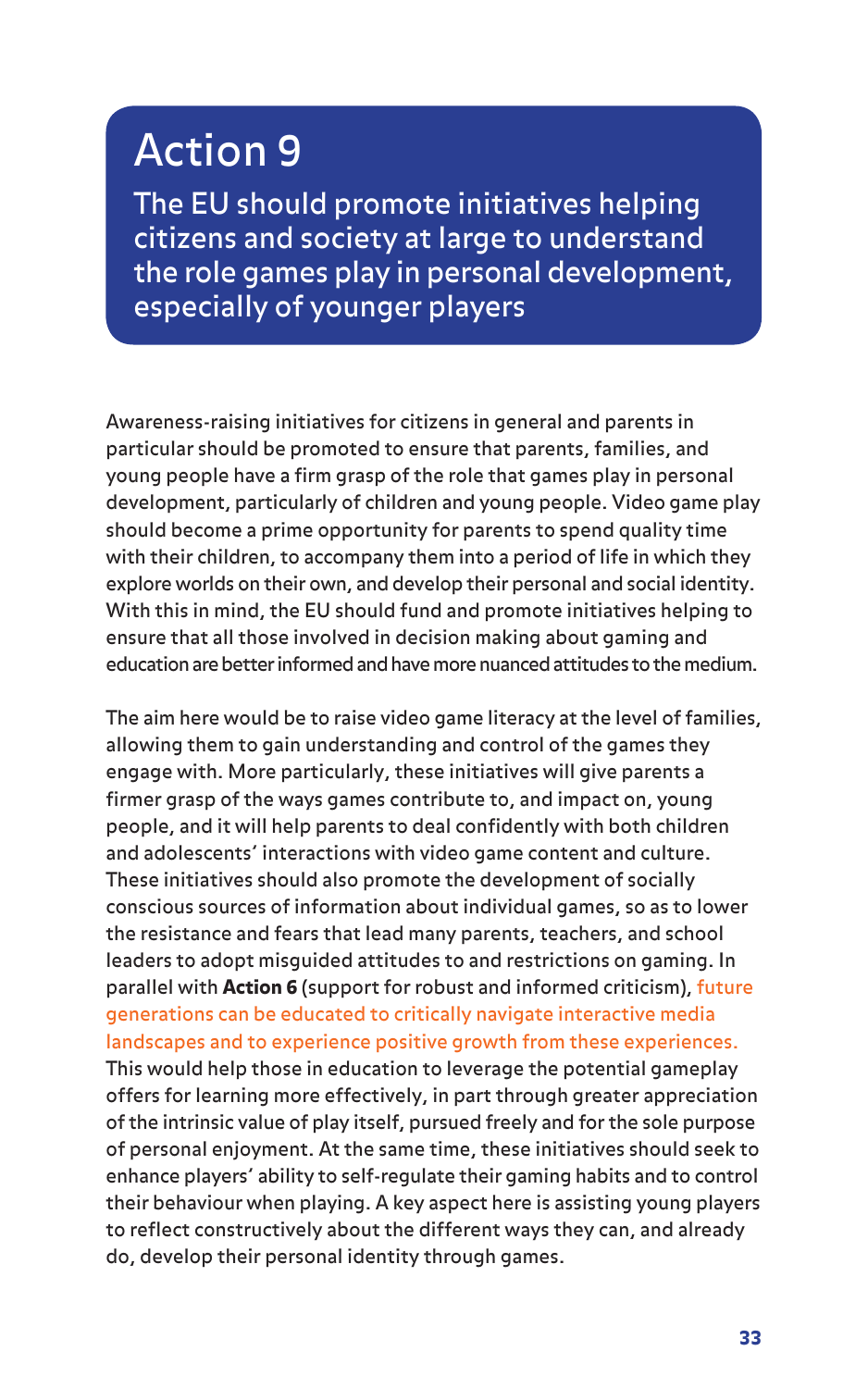The EU should promote initiatives helping citizens and society at large to understand the role games play in personal development, especially of younger players

Awareness-raising initiatives for citizens in general and parents in particular should be promoted to ensure that parents, families, and young people have a firm grasp of the role that games play in personal development, particularly of children and young people. Video game play should become a prime opportunity for parents to spend quality time with their children, to accompany them into a period of life in which they explore worlds on their own, and develop their personal and social identity. With this in mind, the EU should fund and promote initiatives helping to ensure that all those involved in decision making about gaming and education are better informed and have more nuanced attitudes to the medium.

The aim here would be to raise video game literacy at the level of families, allowing them to gain understanding and control of the games they engage with. More particularly, these initiatives will give parents a firmer grasp of the ways games contribute to, and impact on, young people, and it will help parents to deal confidently with both children and adolescents' interactions with video game content and culture. These initiatives should also promote the development of socially conscious sources of information about individual games, so as to lower the resistance and fears that lead many parents, teachers, and school leaders to adopt misguided attitudes to and restrictions on gaming. In parallel with Action 6 (support for robust and informed criticism), future generations can be educated to critically navigate interactive media landscapes and to experience positive growth from these experiences. This would help those in education to leverage the potential gameplay offers for learning more effectively, in part through greater appreciation of the intrinsic value of play itself, pursued freely and for the sole purpose of personal enjoyment. At the same time, these initiatives should seek to enhance players' ability to self-regulate their gaming habits and to control their behaviour when playing. A key aspect here is assisting young players to reflect constructively about the different ways they can, and already do, develop their personal identity through games.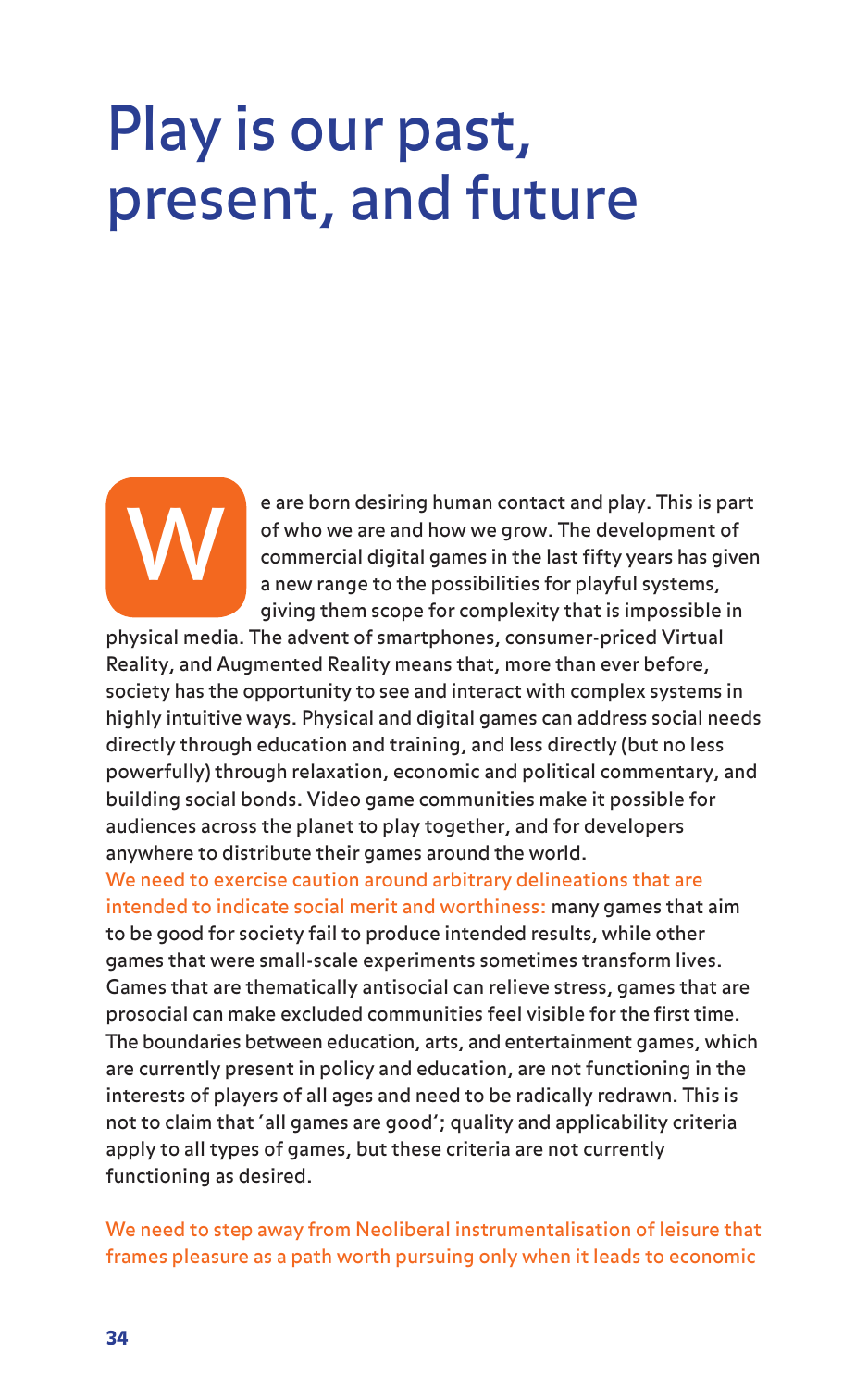# Play is our past, present, and future

W

e are born desiring human contact and play. This is part of who we are and how we grow. The development of commercial digital games in the last fifty years has given a new range to the possibilities for playful systems, giving them scope for complexity that is impossible in

physical media. The advent of smartphones, consumer-priced Virtual Reality, and Augmented Reality means that, more than ever before, society has the opportunity to see and interact with complex systems in highly intuitive ways. Physical and digital games can address social needs directly through education and training, and less directly (but no less powerfully) through relaxation, economic and political commentary, and building social bonds. Video game communities make it possible for audiences across the planet to play together, and for developers anywhere to distribute their games around the world.

We need to exercise caution around arbitrary delineations that are intended to indicate social merit and worthiness: many games that aim to be good for society fail to produce intended results, while other games that were small-scale experiments sometimes transform lives. Games that are thematically antisocial can relieve stress, games that are prosocial can make excluded communities feel visible for the first time. The boundaries between education, arts, and entertainment games, which are currently present in policy and education, are not functioning in the interests of players of all ages and need to be radically redrawn. This is not to claim that 'all games are good'; quality and applicability criteria apply to all types of games, but these criteria are not currently functioning as desired.

We need to step away from Neoliberal instrumentalisation of leisure that frames pleasure as a path worth pursuing only when it leads to economic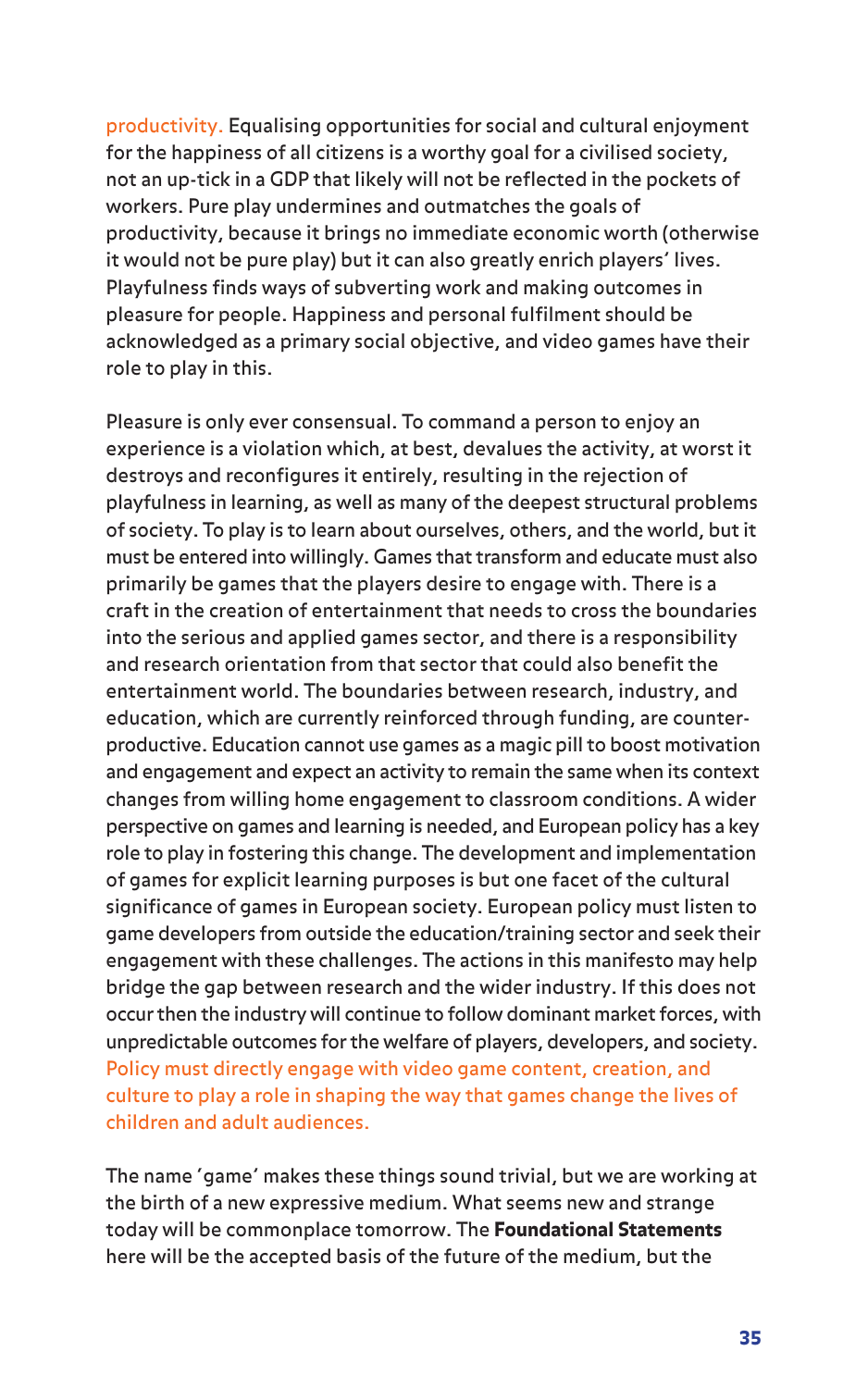productivity. Equalising opportunities for social and cultural enjoyment for the happiness of all citizens is a worthy goal for a civilised society, not an up-tick in a GDP that likely will not be reflected in the pockets of workers. Pure play undermines and outmatches the goals of productivity, because it brings no immediate economic worth (otherwise it would not be pure play) but it can also greatly enrich players' lives. Playfulness finds ways of subverting work and making outcomes in pleasure for people. Happiness and personal fulfilment should be acknowledged as a primary social objective, and video games have their role to play in this.

Pleasure is only ever consensual. To command a person to enjoy an experience is a violation which, at best, devalues the activity, at worst it destroys and reconfigures it entirely, resulting in the rejection of playfulness in learning, as well as many of the deepest structural problems of society. To play is to learn about ourselves, others, and the world, but it must be entered into willingly. Games that transform and educate must also primarily be games that the players desire to engage with. There is a craft in the creation of entertainment that needs to cross the boundaries into the serious and applied games sector, and there is a responsibility and research orientation from that sector that could also benefit the entertainment world. The boundaries between research, industry, and education, which are currently reinforced through funding, are counterproductive. Education cannot use games as a magic pill to boost motivation and engagement and expect an activity to remain the same when its context changes from willing home engagement to classroom conditions. A wider perspective on games and learning is needed, and European policy has a key role to play in fostering this change. The development and implementation of games for explicit learning purposes is but one facet of the cultural significance of games in European society. European policy must listen to game developers from outside the education/training sector and seek their engagement with these challenges. The actions in this manifesto may help bridge the gap between research and the wider industry. If this does not occur then the industry will continue to follow dominant market forces, with unpredictable outcomes for the welfare of players, developers, and society. Policy must directly engage with video game content, creation, and culture to play a role in shaping the way that games change the lives of children and adult audiences.

The name 'game' makes these things sound trivial, but we are working at the birth of a new expressive medium. What seems new and strange today will be commonplace tomorrow. The Foundational Statements here will be the accepted basis of the future of the medium, but the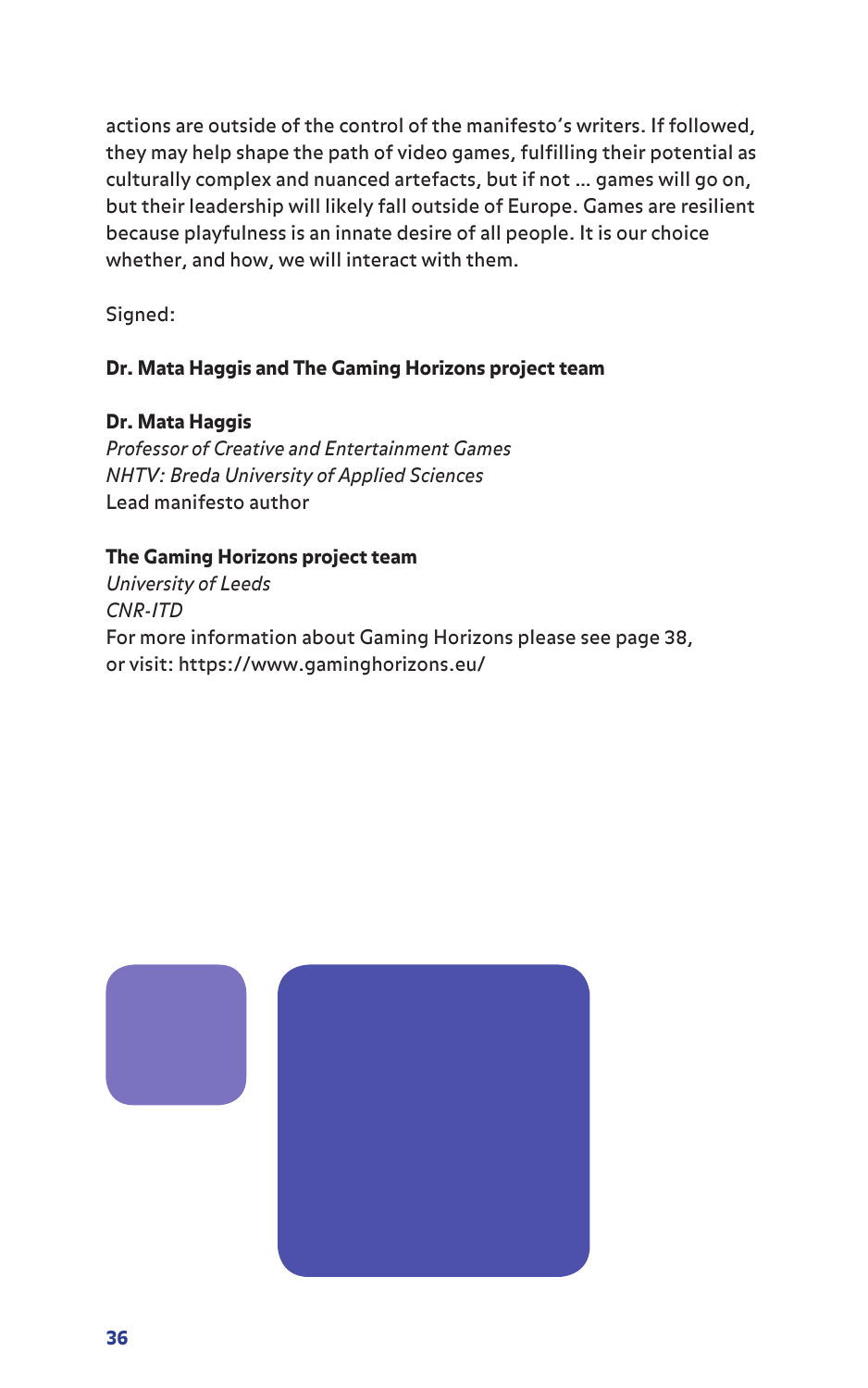actions are outside of the control of the manifesto's writers. If followed, they may help shape the path of video games, fulfilling their potential as culturally complex and nuanced artefacts, but if not … games will go on, but their leadership will likely fall outside of Europe. Games are resilient because playfulness is an innate desire of all people. It is our choice whether, and how, we will interact with them.

Signed:

#### Dr. Mata Haggis and The Gaming Horizons project team

#### Dr. Mata Haggis

*Professor of Creative and Entertainment Games NHTV: Breda University of Applied Sciences* Lead manifesto author

#### The Gaming Horizons project team

*University of Leeds CNR-ITD* For more information about Gaming Horizons please see page 38, or visit: https://www.gaminghorizons.eu/

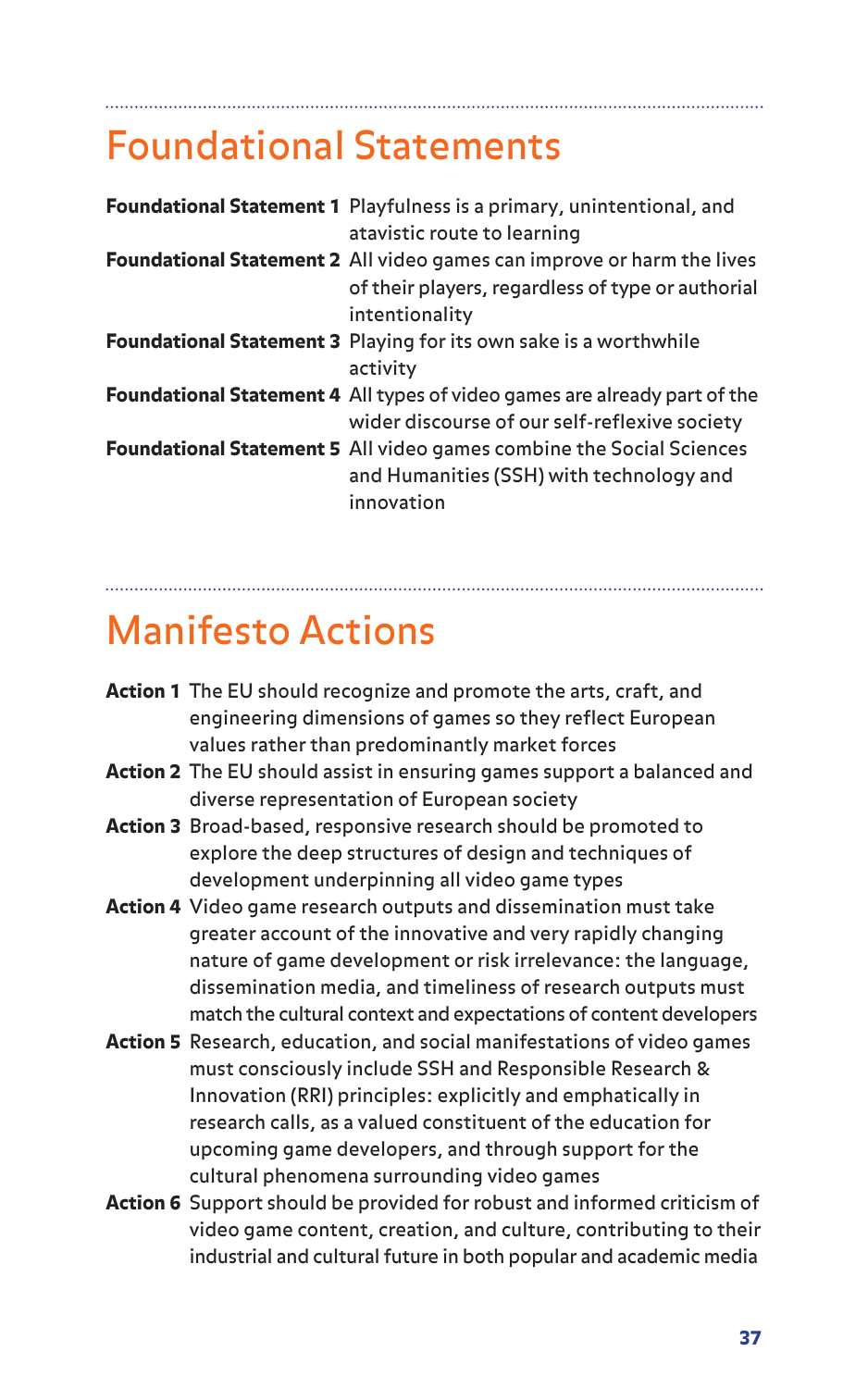### Foundational Statements

| Foundational Statement 1 Playfulness is a primary, unintentional, and<br>atavistic route to learning                        |
|-----------------------------------------------------------------------------------------------------------------------------|
| Foundational Statement 2 All video games can improve or harm the lives<br>of their players, regardless of type or authorial |
| intentionality                                                                                                              |
| <b>Foundational Statement 3</b> Playing for its own sake is a worthwhile                                                    |
| activity                                                                                                                    |
| <b>Foundational Statement 4</b> All types of video games are already part of the                                            |
| wider discourse of our self-reflexive society                                                                               |
| <b>Foundational Statement 5</b> All video games combine the Social Sciences                                                 |
| and Humanities (SSH) with technology and<br>innovation                                                                      |

### Manifesto Actions

- Action 1 The EU should recognize and promote the arts, craft, and engineering dimensions of games so they reflect European values rather than predominantly market forces
- Action 2 The EU should assist in ensuring games support a balanced and diverse representation of European society
- Action 3 Broad-based, responsive research should be promoted to explore the deep structures of design and techniques of development underpinning all video game types
- Action 4 Video game research outputs and dissemination must take greater account of the innovative and very rapidly changing nature of game development or risk irrelevance: the language, dissemination media, and timeliness of research outputs must match the cultural context and expectations of content developers
- Action 5 Research, education, and social manifestations of video games must consciously include SSH and Responsible Research & Innovation (RRI) principles: explicitly and emphatically in research calls, as a valued constituent of the education for upcoming game developers, and through support for the cultural phenomena surrounding video games
- Action 6 Support should be provided for robust and informed criticism of video game content, creation, and culture, contributing to their industrial and cultural future in both popular and academic media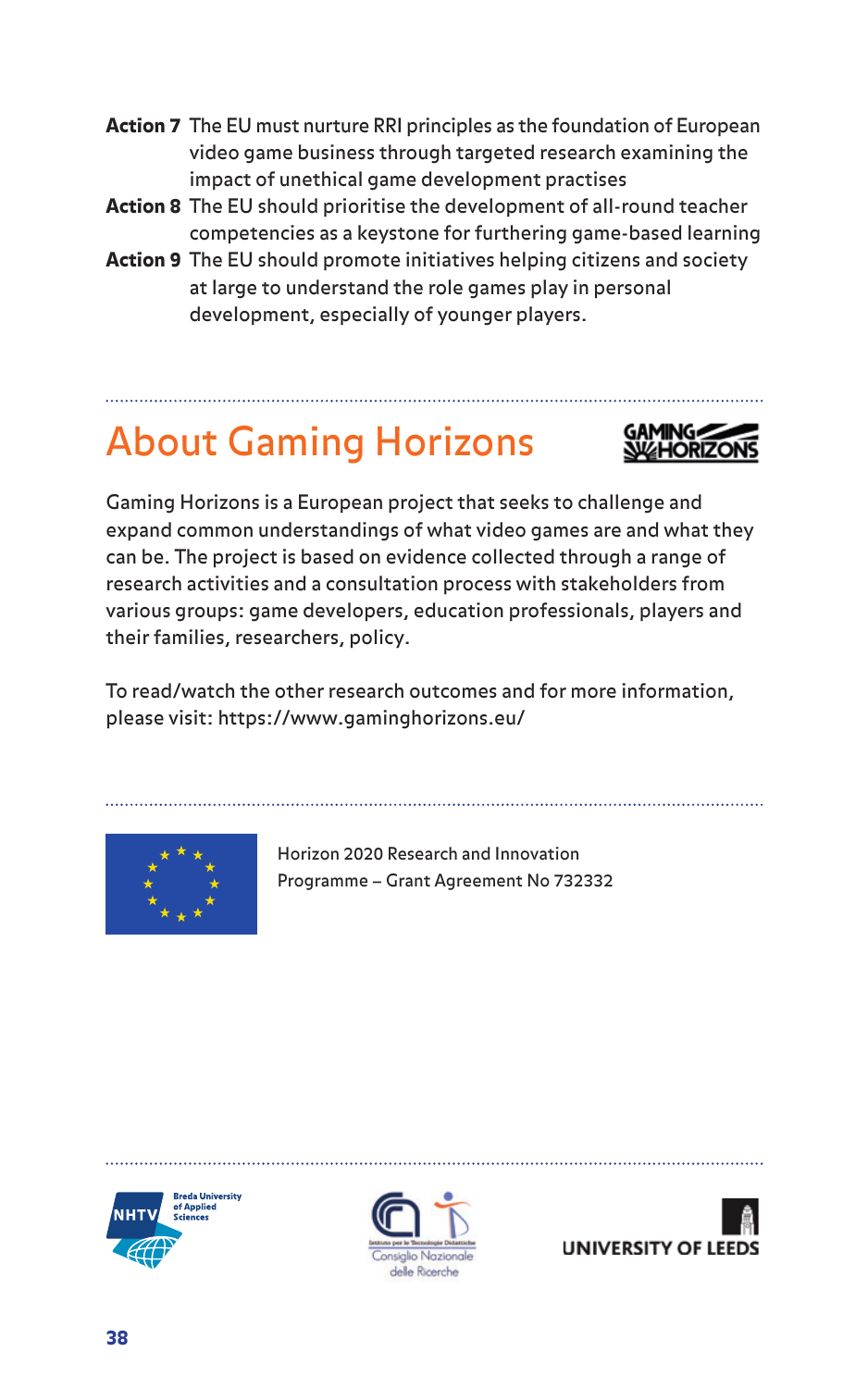- Action 7 The EU must nurture RRI principles as the foundation of European video game business through targeted research examining the impact of unethical game development practises
- Action 8 The EU should prioritise the development of all-round teacher competencies as a keystone for furthering game-based learning
- Action 9 The EU should promote initiatives helping citizens and society at large to understand the role games play in personal development, especially of younger players.

### About Gaming Horizons



Gaming Horizons is a European project that seeks to challenge and expand common understandings of what video games are and what they can be. The project is based on evidence collected through a range of research activities and a consultation process with stakeholders from various groups: game developers, education professionals, players and their families, researchers, policy.

To read/watch the other research outcomes and for more information, please visit: https://www.gaminghorizons.eu/



Horizon 2020 Research and Innovation Programme – Grant Agreement No 732332





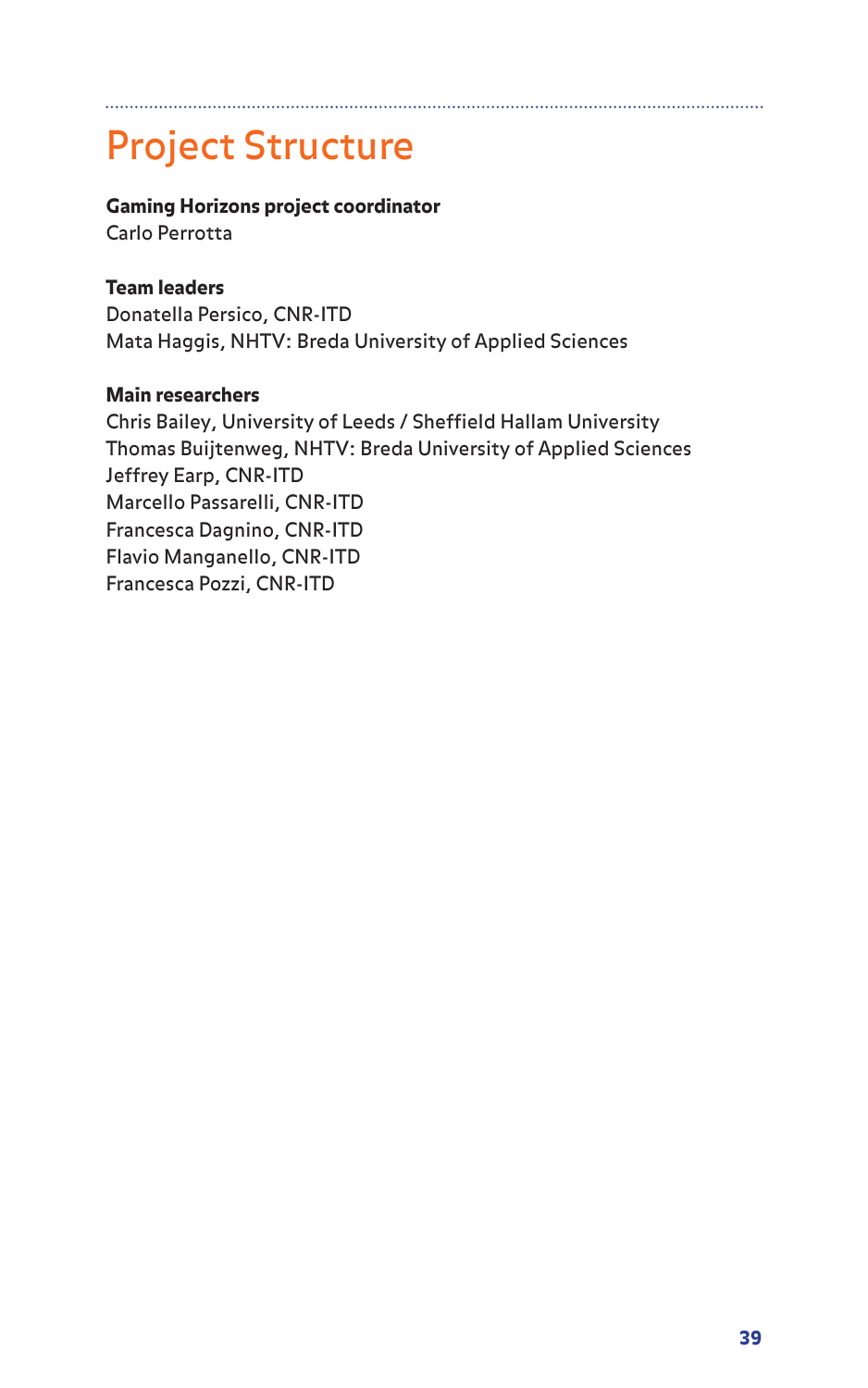### Project Structure

#### Gaming Horizons project coordinator

Carlo Perrotta

#### Team leaders

Donatella Persico, CNR-ITD Mata Haggis, NHTV: Breda University of Applied Sciences

#### Main researchers

Chris Bailey, University of Leeds / Sheffield Hallam University Thomas Buijtenweg, NHTV: Breda University of Applied Sciences Jeffrey Earp, CNR-ITD Marcello Passarelli, CNR-ITD Francesca Dagnino, CNR-ITD Flavio Manganello, CNR-ITD Francesca Pozzi, CNR-ITD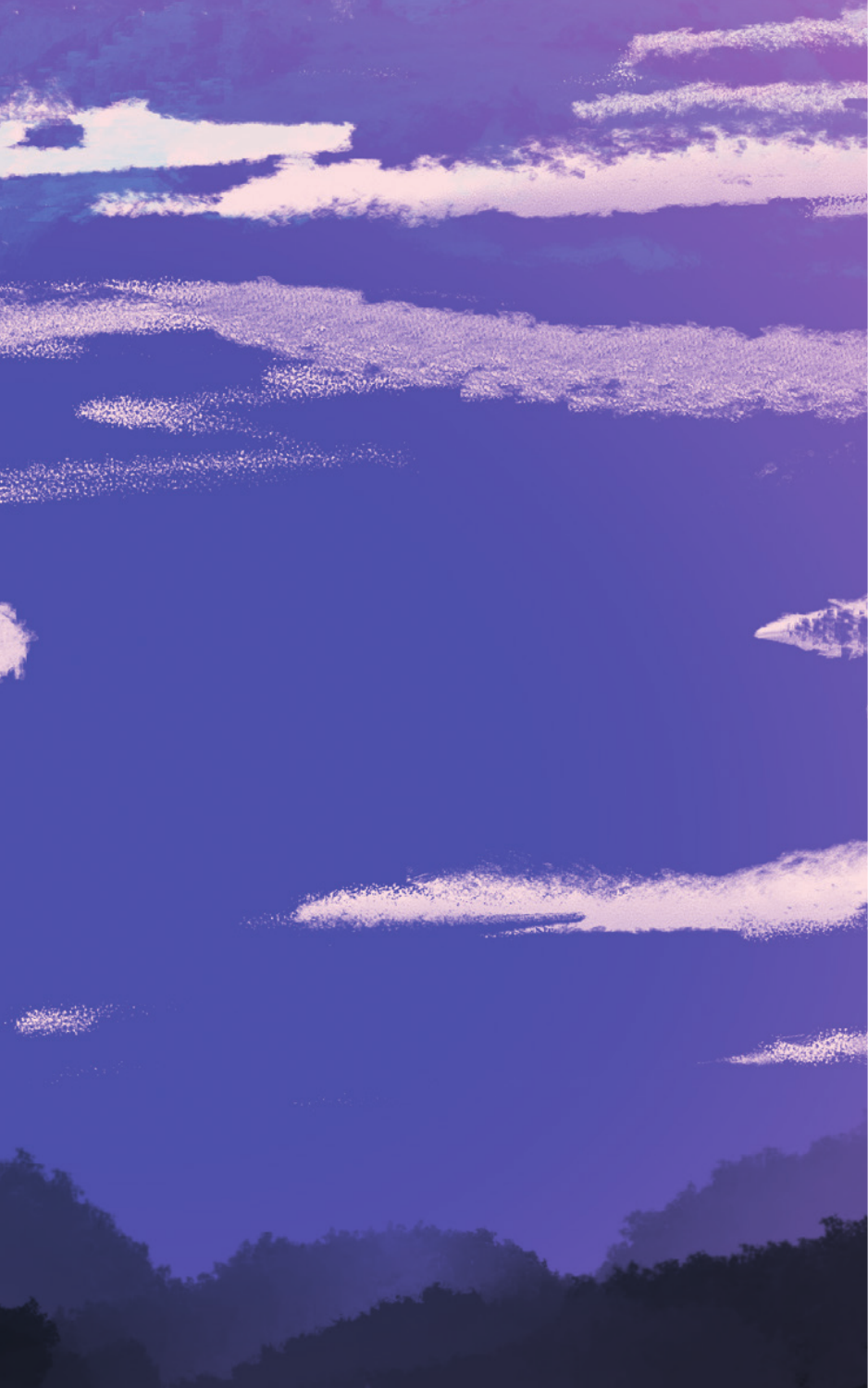